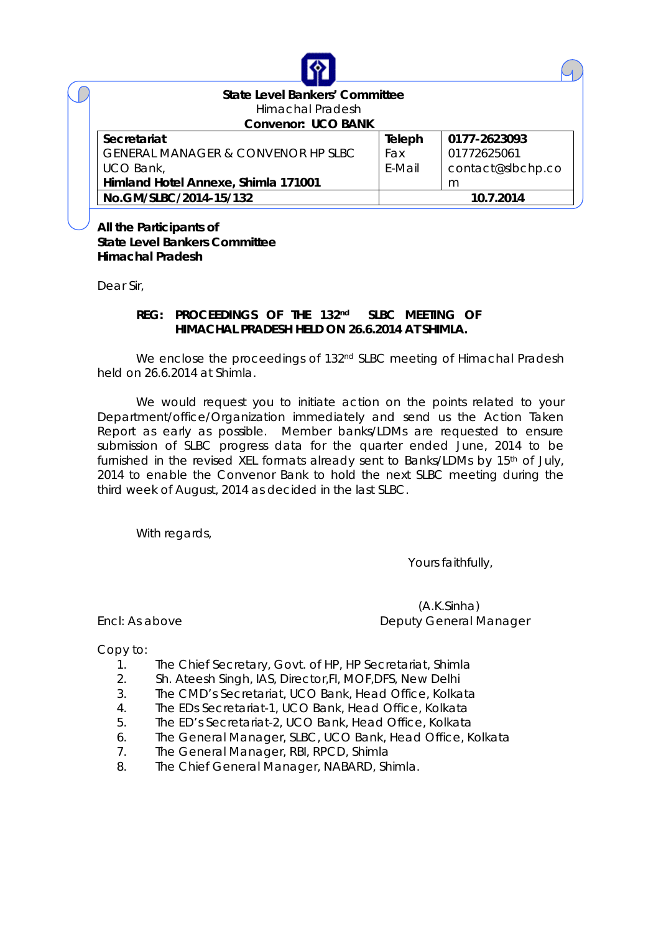| <b>State Level Bankers' Committee</b>         |        |                   |  |  |  |
|-----------------------------------------------|--------|-------------------|--|--|--|
| Himachal Pradesh                              |        |                   |  |  |  |
| <b>Convenor: UCO BANK</b>                     |        |                   |  |  |  |
| <b>Secretariat</b>                            | Teleph | 0177-2623093      |  |  |  |
| <b>GENERAL MANAGER &amp; CONVENOR HP SLBC</b> | Fax    | 01772625061       |  |  |  |
| UCO Bank,                                     | E-Mail | contact@slbchp.co |  |  |  |
| Himland Hotel Annexe, Shimla 171001           |        | m                 |  |  |  |
| No.GM/SLBC/2014-15/132                        |        | 10.7.2014         |  |  |  |

**All the Participants of State Level Bankers Committee Himachal Pradesh**

Dear Sir,

#### **REG: PROCEEDINGS OF THE 132 nd SLBC MEETING OF HIMACHAL PRADESH HELD ON 26.6.2014 AT SHIMLA.**

We enclose the proceedings of 132<sup>nd</sup> SLBC meeting of Himachal Pradesh held on 26.6.2014 at Shimla.

We would request you to initiate action on the points related to your Department/office/Organization immediately and send us the Action Taken Report as early as possible. Member banks/LDMs are requested to ensure submission of SLBC progress data for the quarter ended June, 2014 to be furnished in the revised XEL formats already sent to Banks/LDMs by 15<sup>th</sup> of July, 2014 to enable the Convenor Bank to hold the next SLBC meeting during the third week of August, 2014 as decided in the last SLBC.

With regards,

Yours faithfully,

 (A.K.Sinha) Encl: As above Deputy General Manager

Copy to:

- 1. The Chief Secretary, Govt. of HP, HP Secretariat, Shimla
- 2. Sh. Ateesh Singh, IAS, Director,FI, MOF,DFS, New Delhi
- 3. The CMD's Secretariat, UCO Bank, Head Office, Kolkata
- 4. The EDs Secretariat-1, UCO Bank, Head Office, Kolkata
- 5. The ED's Secretariat-2, UCO Bank, Head Office, Kolkata
- 6. The General Manager, SLBC, UCO Bank, Head Office, Kolkata
- 7. The General Manager, RBI, RPCD, Shimla
- 8. The Chief General Manager, NABARD, Shimla.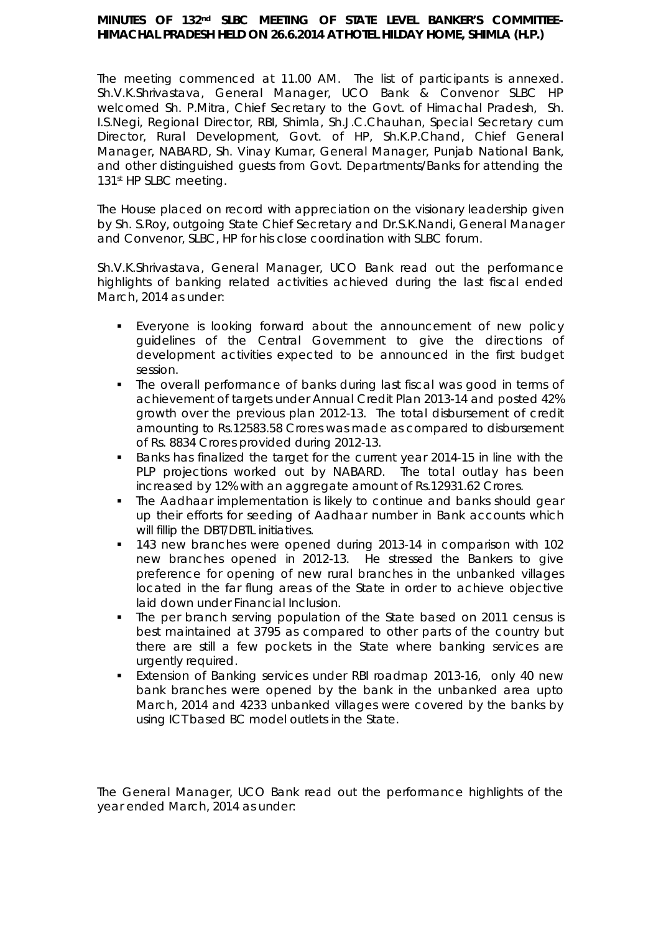#### MINUTES OF 132<sup>nd</sup> SLBC MEETING OF STATE LEVEL BANKER'S COMMITTEE-**HIMACHAL PRADESH HELD ON 26.6.2014 AT HOTEL HILDAY HOME, SHIMLA (H.P.)**

The meeting commenced at 11.00 AM. The list of participants is annexed. Sh.V.K.Shrivastava, General Manager, UCO Bank & Convenor SLBC HP welcomed Sh. P.Mitra, Chief Secretary to the Govt. of Himachal Pradesh, Sh. I.S.Negi, Regional Director, RBI, Shimla, Sh.J.C.Chauhan, Special Secretary cum Director, Rural Development, Govt. of HP, Sh.K.P.Chand, Chief General Manager, NABARD, Sh. Vinay Kumar, General Manager, Punjab National Bank, and other distinguished guests from Govt. Departments/Banks for attending the 131<sup>st</sup> HP SLBC meeting.

The House placed on record with appreciation on the visionary leadership given by Sh. S.Roy, outgoing State Chief Secretary and Dr.S.K.Nandi, General Manager and Convenor, SLBC, HP for his close coordination with SLBC forum.

Sh.V.K.Shrivastava, General Manager, UCO Bank read out the performance highlights of banking related activities achieved during the last fiscal ended March, 2014 as under:

- Everyone is looking forward about the announcement of new policy guidelines of the Central Government to give the directions of development activities expected to be announced in the first budget session.
- The overall performance of banks during last fiscal was good in terms of achievement of targets under Annual Credit Plan 2013-14 and posted 42% growth over the previous plan 2012-13. The total disbursement of credit amounting to Rs.12583.58 Crores was made as compared to disbursement of Rs. 8834 Crores provided during 2012-13.
- Banks has finalized the target for the current year 2014-15 in line with the PLP projections worked out by NABARD. The total outlay has been increased by 12% with an aggregate amount of Rs.12931.62 Crores.
- The Aadhaar implementation is likely to continue and banks should gear up their efforts for seeding of Aadhaar number in Bank accounts which will fillip the DBT/DBTL initiatives.
- 143 new branches were opened during 2013-14 in comparison with 102 new branches opened in 2012-13. He stressed the Bankers to give preference for opening of new rural branches in the unbanked villages located in the far flung areas of the State in order to achieve objective laid down under Financial Inclusion.
- The per branch serving population of the State based on 2011 census is best maintained at 3795 as compared to other parts of the country but there are still a few pockets in the State where banking services are urgently required.
- Extension of Banking services under RBI roadmap 2013-16, only 40 new bank branches were opened by the bank in the unbanked area upto March, 2014 and 4233 unbanked villages were covered by the banks by using ICT based BC model outlets in the State.

The General Manager, UCO Bank read out the performance highlights of the year ended March, 2014 as under: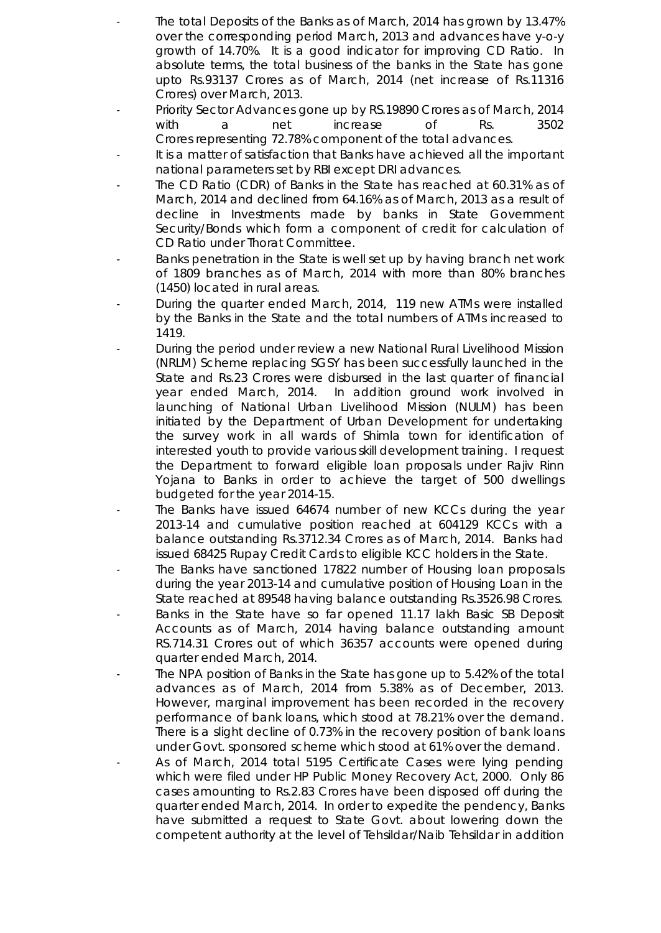- The total Deposits of the Banks as of March, 2014 has grown by 13.47% over the corresponding period March, 2013 and advances have y-o-y growth of 14.70%. It is a good indicator for improving CD Ratio. In absolute terms, the total business of the banks in the State has gone upto Rs.93137 Crores as of March, 2014 (net increase of Rs.11316 Crores) over March, 2013.
- Priority Sector Advances gone up by RS.19890 Crores as of March, 2014 with a net increase of Rs. 3502 Crores representing 72.78% component of the total advances.
- It is a matter of satisfaction that Banks have achieved all the important national parameters set by RBI except DRI advances.
- The CD Ratio (CDR) of Banks in the State has reached at 60.31% as of March, 2014 and declined from 64.16% as of March, 2013 as a result of decline in Investments made by banks in State Government Security/Bonds which form a component of credit for calculation of CD Ratio under Thorat Committee.
- Banks penetration in the State is well set up by having branch net work of 1809 branches as of March, 2014 with more than 80% branches (1450) located in rural areas.
- During the quarter ended March, 2014, 119 new ATMs were installed by the Banks in the State and the total numbers of ATMs increased to 1419.
- During the period under review a new National Rural Livelihood Mission (NRLM) Scheme replacing SGSY has been successfully launched in the State and Rs.23 Crores were disbursed in the last quarter of financial year ended March, 2014. In addition ground work involved in launching of National Urban Livelihood Mission (NULM) has been initiated by the Department of Urban Development for undertaking the survey work in all wards of Shimla town for identification of interested youth to provide various skill development training. I request the Department to forward eligible loan proposals under Rajiv Rinn Yojana to Banks in order to achieve the target of 500 dwellings budgeted for the year 2014-15.
- The Banks have issued 64674 number of new KCCs during the year 2013-14 and cumulative position reached at 604129 KCCs with a balance outstanding Rs.3712.34 Crores as of March, 2014. Banks had issued 68425 Rupay Credit Cards to eligible KCC holders in the State.
- The Banks have sanctioned 17822 number of Housing loan proposals during the year 2013-14 and cumulative position of Housing Loan in the State reached at 89548 having balance outstanding Rs.3526.98 Crores.
- Banks in the State have so far opened 11.17 lakh Basic SB Deposit Accounts as of March, 2014 having balance outstanding amount RS.714.31 Crores out of which 36357 accounts were opened during quarter ended March, 2014.
- The NPA position of Banks in the State has gone up to 5.42% of the total advances as of March, 2014 from 5.38% as of December, 2013. However, marginal improvement has been recorded in the recovery performance of bank loans, which stood at 78.21% over the demand. There is a slight decline of 0.73% in the recovery position of bank loans under Govt. sponsored scheme which stood at 61% over the demand.
- As of March, 2014 total 5195 Certificate Cases were lying pending which were filed under HP Public Money Recovery Act, 2000. Only 86 cases amounting to Rs.2.83 Crores have been disposed off during the quarter ended March, 2014. In order to expedite the pendency, Banks have submitted a request to State Govt. about lowering down the competent authority at the level of Tehsildar/Naib Tehsildar in addition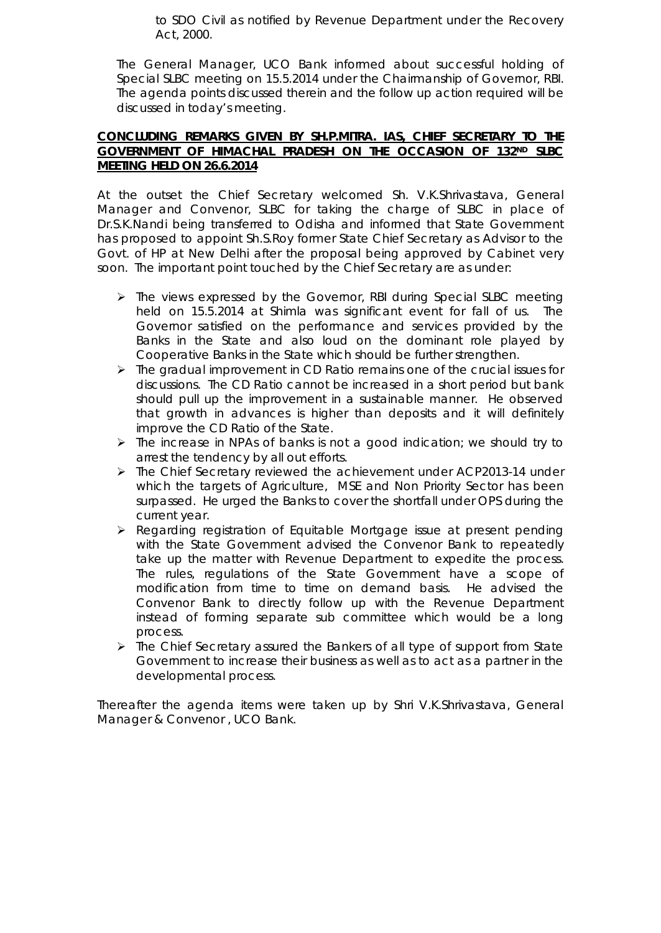to SDO Civil as notified by Revenue Department under the Recovery Act, 2000.

The General Manager, UCO Bank informed about successful holding of Special SLBC meeting on 15.5.2014 under the Chairmanship of Governor, RBI. The agenda points discussed therein and the follow up action required will be discussed in today's meeting.

#### **CONCLUDING REMARKS GIVEN BY SH.P.MITRA. IAS, CHIEF SECRETARY TO THE GOVERNMENT OF HIMACHAL PRADESH ON THE OCCASION OF 132ND SLBC MEETING HELD ON 26.6.2014**

At the outset the Chief Secretary welcomed Sh. V.K.Shrivastava, General Manager and Convenor, SLBC for taking the charge of SLBC in place of Dr.S.K.Nandi being transferred to Odisha and informed that State Government has proposed to appoint Sh.S.Roy former State Chief Secretary as Advisor to the Govt. of HP at New Delhi after the proposal being approved by Cabinet very soon. The important point touched by the Chief Secretary are as under:

- > The views expressed by the Governor, RBI during Special SLBC meeting held on 15.5.2014 at Shimla was significant event for fall of us. The Governor satisfied on the performance and services provided by the Banks in the State and also loud on the dominant role played by Cooperative Banks in the State which should be further strengthen.
- $\triangleright$  The gradual improvement in CD Ratio remains one of the crucial issues for discussions. The CD Ratio cannot be increased in a short period but bank should pull up the improvement in a sustainable manner. He observed that growth in advances is higher than deposits and it will definitely improve the CD Ratio of the State.
- $\triangleright$  The increase in NPAs of banks is not a good indication; we should try to arrest the tendency by all out efforts.
- The Chief Secretary reviewed the achievement under ACP2013-14 under which the targets of Agriculture, MSE and Non Priority Sector has been surpassed. He urged the Banks to cover the shortfall under OPS during the current year.
- Regarding registration of Equitable Mortgage issue at present pending with the State Government advised the Convenor Bank to repeatedly take up the matter with Revenue Department to expedite the process. The rules, regulations of the State Government have a scope of modification from time to time on demand basis. He advised the Convenor Bank to directly follow up with the Revenue Department instead of forming separate sub committee which would be a long process.
- $\triangleright$  The Chief Secretary assured the Bankers of all type of support from State Government to increase their business as well as to act as a partner in the developmental process.

Thereafter the agenda items were taken up by Shri V.K.Shrivastava, General Manager & Convenor , UCO Bank.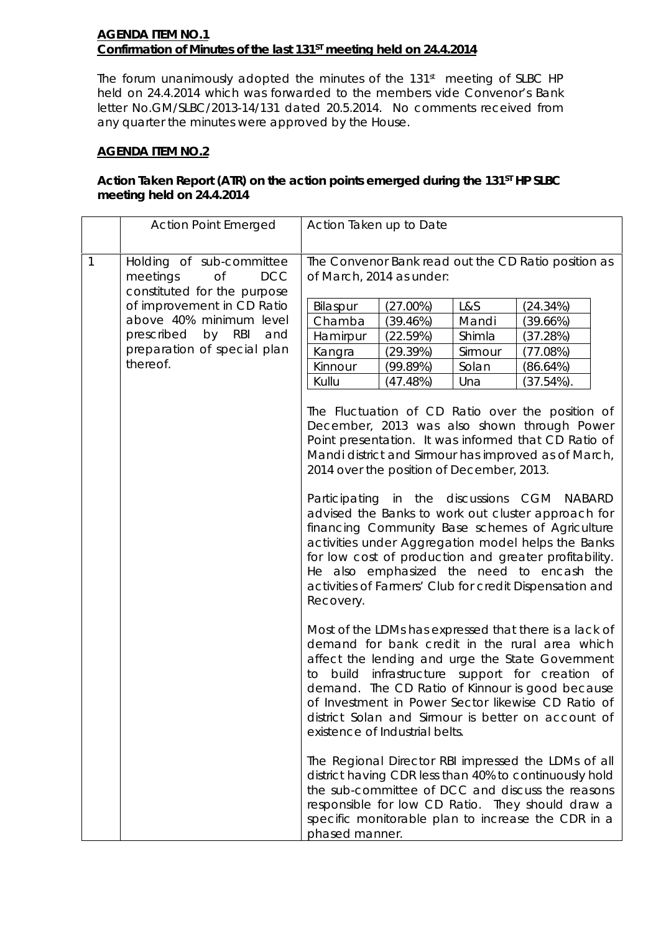#### **AGENDA ITEM NO.1 Confirmation of Minutes of the last 131<sup>st</sup> meeting held on 24.4.2014**

The forum unanimously adopted the minutes of the 131<sup>st</sup> meeting of SLBC HP held on 24.4.2014 which was forwarded to the members vide Convenor's Bank letter No.GM/SLBC/2013-14/131 dated 20.5.2014. No comments received from any quarter the minutes were approved by the House.

### **AGENDA ITEM NO.2**

### Action Taken Report (ATR) on the action points emerged during the 131<sup>ST</sup> HP SLBC **meeting held on 24.4.2014**

|  |                                                                                                                                                             | <b>Action Point Emerged</b>                                                                                                                                                                                                                                                                                                                                                                                                                                                                                                       | Action Taken up to Date                                                                                                                                                                                                                                                                                                                                                                                                |  |  |  |  |  |
|--|-------------------------------------------------------------------------------------------------------------------------------------------------------------|-----------------------------------------------------------------------------------------------------------------------------------------------------------------------------------------------------------------------------------------------------------------------------------------------------------------------------------------------------------------------------------------------------------------------------------------------------------------------------------------------------------------------------------|------------------------------------------------------------------------------------------------------------------------------------------------------------------------------------------------------------------------------------------------------------------------------------------------------------------------------------------------------------------------------------------------------------------------|--|--|--|--|--|
|  | $\mathbf{1}$                                                                                                                                                | Holding of sub-committee<br><b>of</b><br><b>DCC</b><br>meetings                                                                                                                                                                                                                                                                                                                                                                                                                                                                   | The Convenor Bank read out the CD Ratio position as<br>of March, 2014 as under:                                                                                                                                                                                                                                                                                                                                        |  |  |  |  |  |
|  | constituted for the purpose<br>of improvement in CD Ratio<br>above 40% minimum level<br>prescribed by RBI<br>and<br>preparation of special plan<br>thereof. | (27.00%)<br>L&S<br>Bilaspur<br>(24.34%)<br>Chamba<br>Mandi<br>(39.46%)<br>(39.66%)<br>Shimla<br>(37.28%)<br>Hamirpur<br>(22.59%)<br>Sirmour<br>Kangra<br>(29.39%)<br>(77.08%)<br>Kinnour<br>(99.89%)<br>Solan<br>(86.64%)<br>Una<br>Kullu<br>(47.48%)<br>(37.54%)<br>The Fluctuation of CD Ratio over the position of<br>December, 2013 was also shown through Power<br>Point presentation. It was informed that CD Ratio of<br>Mandi district and Sirmour has improved as of March,<br>2014 over the position of December, 2013. |                                                                                                                                                                                                                                                                                                                                                                                                                        |  |  |  |  |  |
|  |                                                                                                                                                             |                                                                                                                                                                                                                                                                                                                                                                                                                                                                                                                                   | Participating in the discussions CGM NABARD<br>advised the Banks to work out cluster approach for<br>financing Community Base schemes of Agriculture<br>activities under Aggregation model helps the Banks<br>for low cost of production and greater profitability.<br>He also emphasized the need to encash the<br>activities of Farmers' Club for credit Dispensation and<br>Recovery.                               |  |  |  |  |  |
|  |                                                                                                                                                             |                                                                                                                                                                                                                                                                                                                                                                                                                                                                                                                                   | Most of the LDMs has expressed that there is a lack of<br>demand for bank credit in the rural area which<br>affect the lending and urge the State Government<br>build<br>infrastructure support for creation of<br>to<br>demand. The CD Ratio of Kinnour is good because<br>of Investment in Power Sector likewise CD Ratio of<br>district Solan and Sirmour is better on account of<br>existence of Industrial belts. |  |  |  |  |  |
|  |                                                                                                                                                             |                                                                                                                                                                                                                                                                                                                                                                                                                                                                                                                                   | The Regional Director RBI impressed the LDMs of all<br>district having CDR less than 40% to continuously hold<br>the sub-committee of DCC and discuss the reasons<br>responsible for low CD Ratio. They should draw a<br>specific monitorable plan to increase the CDR in a<br>phased manner.                                                                                                                          |  |  |  |  |  |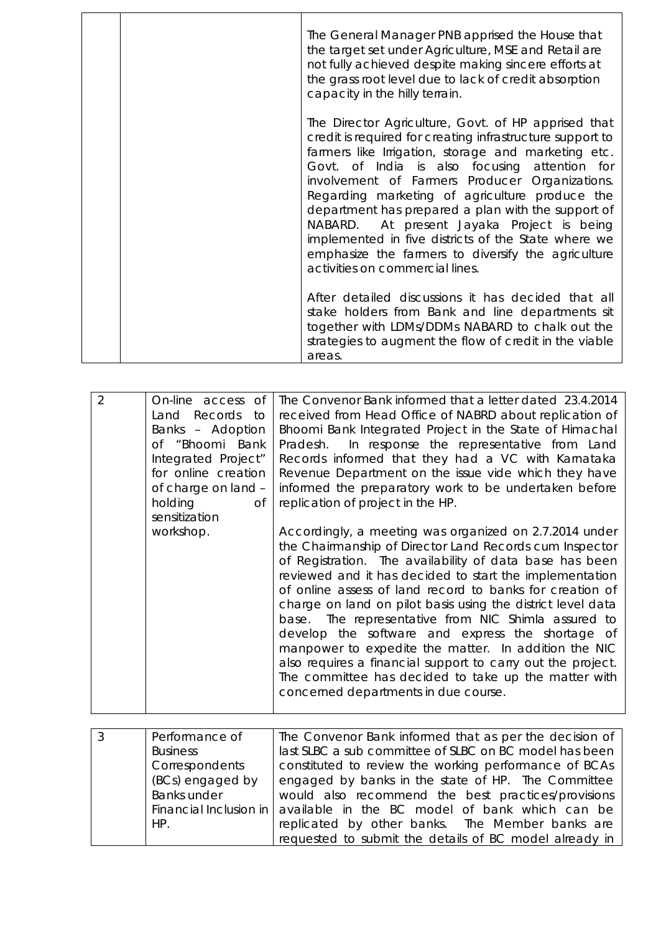| The General Manager PNB apprised the House that<br>the target set under Agriculture, MSE and Retail are<br>not fully achieved despite making sincere efforts at<br>the grass root level due to lack of credit absorption<br>capacity in the hilly terrain.                                                                                                                                                                                                                                                                                                                       |
|----------------------------------------------------------------------------------------------------------------------------------------------------------------------------------------------------------------------------------------------------------------------------------------------------------------------------------------------------------------------------------------------------------------------------------------------------------------------------------------------------------------------------------------------------------------------------------|
| The Director Agriculture, Govt. of HP apprised that<br>credit is required for creating infrastructure support to<br>farmers like Irrigation, storage and marketing etc.<br>Govt. of India is also focusing attention for<br>involvement of Farmers Producer Organizations.<br>Regarding marketing of agriculture produce the<br>department has prepared a plan with the support of<br>NABARD. At present Jayaka Project is being<br>implemented in five districts of the State where we<br>emphasize the farmers to diversify the agriculture<br>activities on commercial lines. |
| After detailed discussions it has decided that all<br>stake holders from Bank and line departments sit<br>together with LDMs/DDMs NABARD to chalk out the<br>strategies to augment the flow of credit in the viable<br>areas.                                                                                                                                                                                                                                                                                                                                                    |

| $\overline{2}$ | On-line access<br>0f<br>Records to<br>Land<br>Banks - Adoption<br>of "Bhoomi Bank<br>Integrated Project"<br>for online creation<br>of charge on land -<br>holding<br>Οf<br>sensitization<br>workshop. | The Convenor Bank informed that a letter dated 23.4.2014<br>received from Head Office of NABRD about replication of<br>Bhoomi Bank Integrated Project in the State of Himachal<br>Pradesh. In response the representative from Land<br>Records informed that they had a VC with Karnataka<br>Revenue Department on the issue vide which they have<br>informed the preparatory work to be undertaken before<br>replication of project in the HP.<br>Accordingly, a meeting was organized on 2.7.2014 under                                                                                                                                  |
|----------------|-------------------------------------------------------------------------------------------------------------------------------------------------------------------------------------------------------|--------------------------------------------------------------------------------------------------------------------------------------------------------------------------------------------------------------------------------------------------------------------------------------------------------------------------------------------------------------------------------------------------------------------------------------------------------------------------------------------------------------------------------------------------------------------------------------------------------------------------------------------|
|                |                                                                                                                                                                                                       | the Chairmanship of Director Land Records cum Inspector<br>of Registration. The availability of data base has been<br>reviewed and it has decided to start the implementation<br>of online assess of land record to banks for creation of<br>charge on land on pilot basis using the district level data<br>base. The representative from NIC Shimla assured to<br>develop the software and express the shortage of<br>manpower to expedite the matter. In addition the NIC<br>also requires a financial support to carry out the project.<br>The committee has decided to take up the matter with<br>concerned departments in due course. |

| $\overline{3}$ | Performance of     | The Convenor Bank informed that as per the decision of                        |
|----------------|--------------------|-------------------------------------------------------------------------------|
|                | <b>Business</b>    | last SLBC a sub committee of SLBC on BC model has been                        |
|                | Correspondents     | constituted to review the working performance of BCAs                         |
|                | (BCs) engaged by   | engaged by banks in the state of HP. The Committee                            |
|                | <b>Banks under</b> | would also recommend the best practices/provisions                            |
|                |                    | Financial Inclusion in $\vert$ available in the BC model of bank which can be |
|                | HP.                | replicated by other banks. The Member banks are                               |
|                |                    | requested to submit the details of BC model already in                        |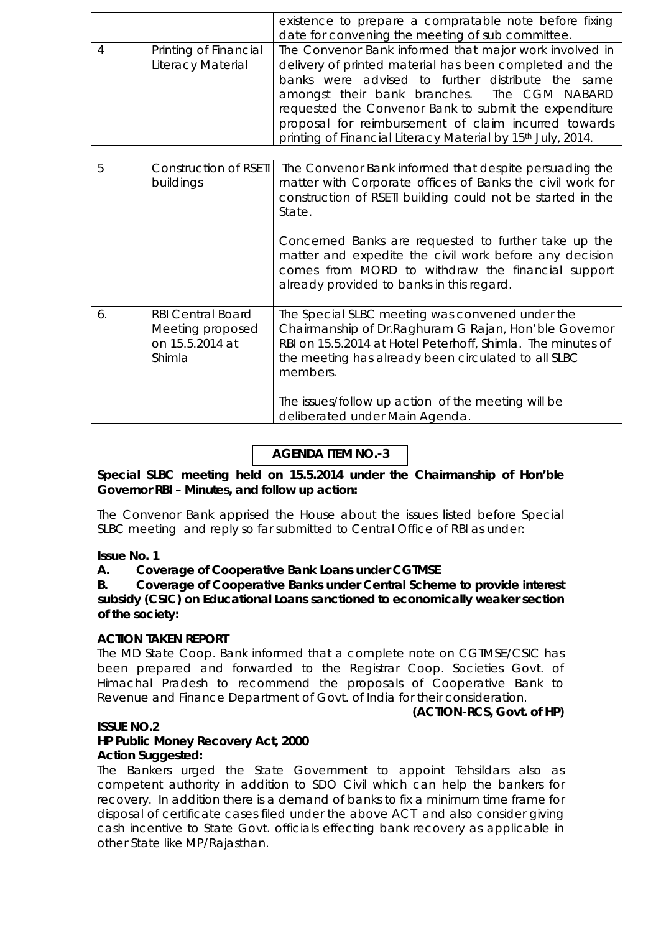|                       | existence to prepare a compratable note before fixing                   |  |  |  |  |
|-----------------------|-------------------------------------------------------------------------|--|--|--|--|
|                       | date for convening the meeting of sub committee.                        |  |  |  |  |
| Printing of Financial | The Convenor Bank informed that major work involved in                  |  |  |  |  |
| Literacy Material     | delivery of printed material has been completed and the                 |  |  |  |  |
|                       | banks were advised to further distribute the same                       |  |  |  |  |
|                       | amongst their bank branches. The CGM NABARD                             |  |  |  |  |
|                       | requested the Convenor Bank to submit the expenditure                   |  |  |  |  |
|                       | proposal for reimbursement of claim incurred towards                    |  |  |  |  |
|                       | printing of Financial Literacy Material by 15 <sup>th</sup> July, 2014. |  |  |  |  |

| 5  | Construction of RSETI<br>buildings                                               | The Convenor Bank informed that despite persuading the<br>matter with Corporate offices of Banks the civil work for<br>construction of RSETI building could not be started in the<br>State.                                                 |
|----|----------------------------------------------------------------------------------|---------------------------------------------------------------------------------------------------------------------------------------------------------------------------------------------------------------------------------------------|
|    |                                                                                  | Concerned Banks are requested to further take up the<br>matter and expedite the civil work before any decision<br>comes from MORD to withdraw the financial support<br>already provided to banks in this regard.                            |
| 6. | <b>RBI Central Board</b><br>Meeting proposed<br>on 15.5.2014 at<br><b>Shimla</b> | The Special SLBC meeting was convened under the<br>Chairmanship of Dr. Raghuram G Rajan, Hon'ble Governor<br>RBI on 15.5.2014 at Hotel Peterhoff, Shimla. The minutes of<br>the meeting has already been circulated to all SLBC<br>members. |
|    |                                                                                  | The issues/follow up action of the meeting will be<br>deliberated under Main Agenda.                                                                                                                                                        |

## **AGENDA ITEM NO.-3**

**Special SLBC meeting held on 15.5.2014 under the Chairmanship of Hon'ble Governor RBI – Minutes, and follow up action:**

The Convenor Bank apprised the House about the issues listed before Special SLBC meeting and reply so far submitted to Central Office of RBI as under:

#### **Issue No. 1**

#### **A. Coverage of Cooperative Bank Loans under CGTMSE**

**B. Coverage of Cooperative Banks under Central Scheme to provide interest subsidy (CSIC) on Educational Loans sanctioned to economically weaker section of the society:** 

#### **ACTION TAKEN REPORT**

The MD State Coop. Bank informed that a complete note on CGTMSE/CSIC has been prepared and forwarded to the Registrar Coop. Societies Govt. of Himachal Pradesh to recommend the proposals of Cooperative Bank to Revenue and Finance Department of Govt. of India for their consideration.

#### **(ACTION-RCS, Govt. of HP)**

#### **ISSUE NO.2**

#### **HP Public Money Recovery Act, 2000 Action Suggested:**

The Bankers urged the State Government to appoint Tehsildars also as competent authority in addition to SDO Civil which can help the bankers for recovery. In addition there is a demand of banks to fix a minimum time frame for disposal of certificate cases filed under the above ACT and also consider giving cash incentive to State Govt. officials effecting bank recovery as applicable in other State like MP/Rajasthan.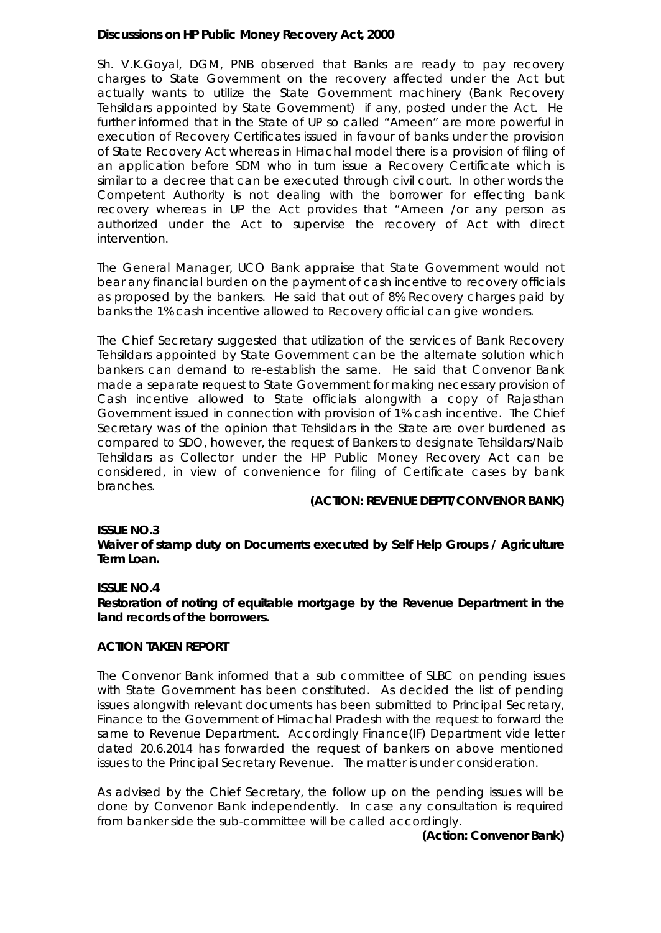#### **Discussions on HP Public Money Recovery Act, 2000**

Sh. V.K.Goyal, DGM, PNB observed that Banks are ready to pay recovery charges to State Government on the recovery affected under the Act but actually wants to utilize the State Government machinery (Bank Recovery Tehsildars appointed by State Government) if any, posted under the Act. He further informed that in the State of UP so called "Ameen" are more powerful in execution of Recovery Certificates issued in favour of banks under the provision of State Recovery Act whereas in Himachal model there is a provision of filing of an application before SDM who in turn issue a Recovery Certificate which is similar to a decree that can be executed through civil court. In other words the Competent Authority is not dealing with the borrower for effecting bank recovery whereas in UP the Act provides that "Ameen /or any person as authorized under the Act to supervise the recovery of Act with direct intervention.

The General Manager, UCO Bank appraise that State Government would not bear any financial burden on the payment of cash incentive to recovery officials as proposed by the bankers. He said that out of 8% Recovery charges paid by banks the 1% cash incentive allowed to Recovery official can give wonders.

The Chief Secretary suggested that utilization of the services of Bank Recovery Tehsildars appointed by State Government can be the alternate solution which bankers can demand to re-establish the same. He said that Convenor Bank made a separate request to State Government for making necessary provision of Cash incentive allowed to State officials alongwith a copy of Rajasthan Government issued in connection with provision of 1% cash incentive. The Chief Secretary was of the opinion that Tehsildars in the State are over burdened as compared to SDO, however, the request of Bankers to designate Tehsildars/Naib Tehsildars as Collector under the HP Public Money Recovery Act can be considered, in view of convenience for filing of Certificate cases by bank branches.

#### **(ACTION: REVENUE DEPTT/CONVENOR BANK)**

#### **ISSUE NO.3**

**Waiver of stamp duty on Documents executed by Self Help Groups / Agriculture Term Loan.**

#### **ISSUE NO.4**

**Restoration of noting of equitable mortgage by the Revenue Department in the land records of the borrowers.**

#### **ACTION TAKEN REPORT**

The Convenor Bank informed that a sub committee of SLBC on pending issues with State Government has been constituted. As decided the list of pending issues alongwith relevant documents has been submitted to Principal Secretary, Finance to the Government of Himachal Pradesh with the request to forward the same to Revenue Department. Accordingly Finance(IF) Department vide letter dated 20.6.2014 has forwarded the request of bankers on above mentioned issues to the Principal Secretary Revenue. The matter is under consideration.

As advised by the Chief Secretary, the follow up on the pending issues will be done by Convenor Bank independently. In case any consultation is required from banker side the sub-committee will be called accordingly.

#### **(Action: Convenor Bank)**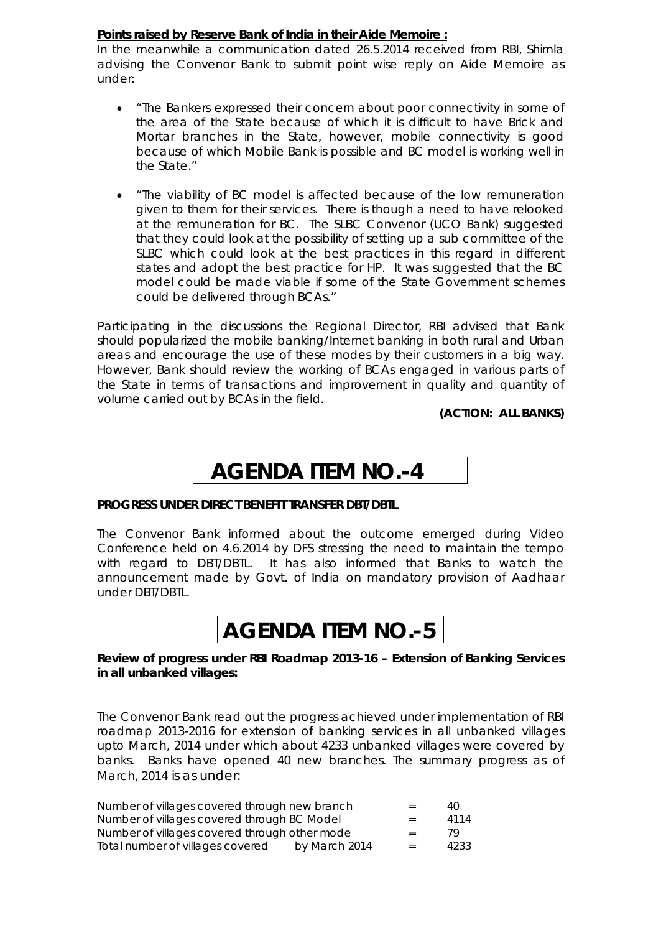#### **Points raised by Reserve Bank of India in their Aide Memoire :**

In the meanwhile a communication dated 26.5.2014 received from RBI, Shimla advising the Convenor Bank to submit point wise reply on Aide Memoire as under:

- "The Bankers expressed their concern about poor connectivity in some of the area of the State because of which it is difficult to have Brick and Mortar branches in the State, however, mobile connectivity is good because of which Mobile Bank is possible and BC model is working well in the State."
- "The viability of BC model is affected because of the low remuneration given to them for their services. There is though a need to have relooked at the remuneration for BC. The SLBC Convenor (UCO Bank) suggested that they could look at the possibility of setting up a sub committee of the SLBC which could look at the best practices in this regard in different states and adopt the best practice for HP. It was suggested that the BC model could be made viable if some of the State Government schemes could be delivered through BCAs."

Participating in the discussions the Regional Director, RBI advised that Bank should popularized the mobile banking/Internet banking in both rural and Urban areas and encourage the use of these modes by their customers in a big way. However, Bank should review the working of BCAs engaged in various parts of the State in terms of transactions and improvement in quality and quantity of volume carried out by BCAs in the field.

**(ACTION: ALL BANKS)**

# **AGENDA ITEM NO.-4**

#### **PROGRESS UNDER DIRECT BENEFIT TRANSFER DBT/DBTL**

The Convenor Bank informed about the outcome emerged during Video Conference held on 4.6.2014 by DFS stressing the need to maintain the tempo with regard to DBT/DBTL. It has also informed that Banks to watch the announcement made by Govt. of India on mandatory provision of Aadhaar under DBT/DBTL.

# **AGENDA ITEM NO.-5**

#### **Review of progress under RBI Roadmap 2013-16 – Extension of Banking Services in all unbanked villages:**

The Convenor Bank read out the progress achieved under implementation of RBI roadmap 2013-2016 for extension of banking services in all unbanked villages upto March, 2014 under which about 4233 unbanked villages were covered by banks. Banks have opened 40 new branches. The summary progress as of March, 2014 is as under:

| Number of villages covered through new branch |               | $=$ | 40.  |
|-----------------------------------------------|---------------|-----|------|
| Number of villages covered through BC Model   |               | $=$ | 4114 |
| Number of villages covered through other mode |               | $=$ | 79.  |
| Total number of villages covered              | by March 2014 | $=$ | 4233 |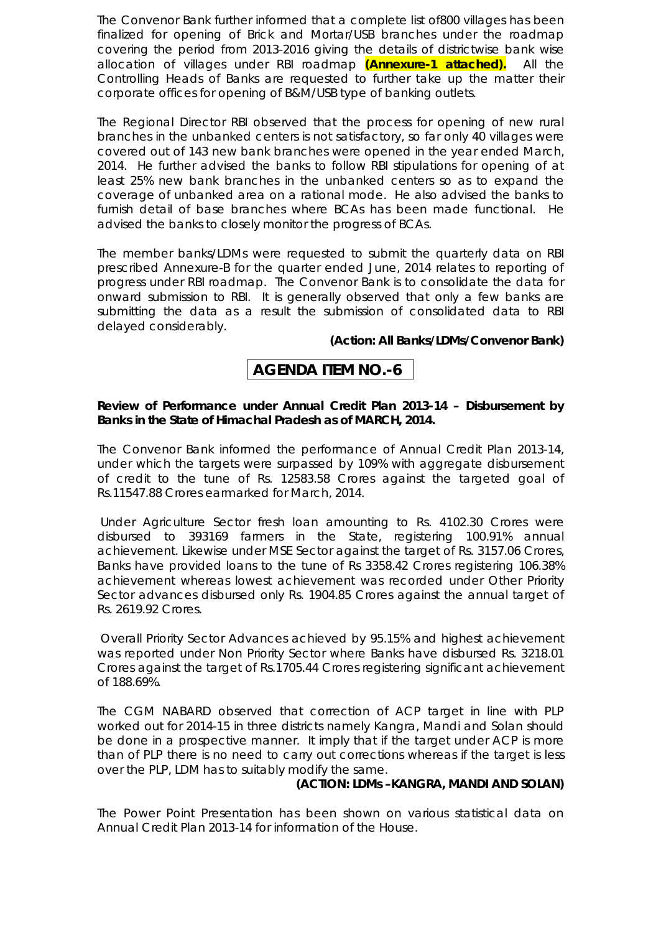The Convenor Bank further informed that a complete list of800 villages has been finalized for opening of Brick and Mortar/USB branches under the roadmap covering the period from 2013-2016 giving the details of districtwise bank wise allocation of villages under RBI roadmap **(Annexure-1 attached).** All the Controlling Heads of Banks are requested to further take up the matter their corporate offices for opening of B&M/USB type of banking outlets.

The Regional Director RBI observed that the process for opening of new rural branches in the unbanked centers is not satisfactory, so far only 40 villages were covered out of 143 new bank branches were opened in the year ended March, 2014. He further advised the banks to follow RBI stipulations for opening of at least 25% new bank branches in the unbanked centers so as to expand the coverage of unbanked area on a rational mode. He also advised the banks to furnish detail of base branches where BCAs has been made functional. He advised the banks to closely monitor the progress of BCAs.

The member banks/LDMs were requested to submit the quarterly data on RBI prescribed Annexure-B for the quarter ended June, 2014 relates to reporting of progress under RBI roadmap. The Convenor Bank is to consolidate the data for onward submission to RBI. It is generally observed that only a few banks are submitting the data as a result the submission of consolidated data to RBI delayed considerably.

#### **(Action: All Banks/LDMs/Convenor Bank)**

# **AGENDA ITEM NO.-6**

#### **Review of Performance under Annual Credit Plan 2013-14 – Disbursement by Banks in the State of Himachal Pradesh as of MARCH, 2014.**

The Convenor Bank informed the performance of Annual Credit Plan 2013-14, under which the targets were surpassed by 109% with aggregate disbursement of credit to the tune of Rs. 12583.58 Crores against the targeted goal of Rs.11547.88 Crores earmarked for March, 2014.

Under Agriculture Sector fresh loan amounting to Rs. 4102.30 Crores were disbursed to 393169 farmers in the State, registering 100.91% annual achievement. Likewise under MSE Sector against the target of Rs. 3157.06 Crores, Banks have provided loans to the tune of Rs 3358.42 Crores registering 106.38% achievement whereas lowest achievement was recorded under Other Priority Sector advances disbursed only Rs. 1904.85 Crores against the annual target of Rs. 2619.92 Crores.

Overall Priority Sector Advances achieved by 95.15% and highest achievement was reported under Non Priority Sector where Banks have disbursed Rs. 3218.01 Crores against the target of Rs.1705.44 Crores registering significant achievement of 188.69%.

The CGM NABARD observed that correction of ACP target in line with PLP worked out for 2014-15 in three districts namely Kangra, Mandi and Solan should be done in a prospective manner. It imply that if the target under ACP is more than of PLP there is no need to carry out corrections whereas if the target is less over the PLP, LDM has to suitably modify the same.

#### **(ACTION: LDMs –KANGRA, MANDI AND SOLAN)**

The Power Point Presentation has been shown on various statistical data on Annual Credit Plan 2013-14 for information of the House.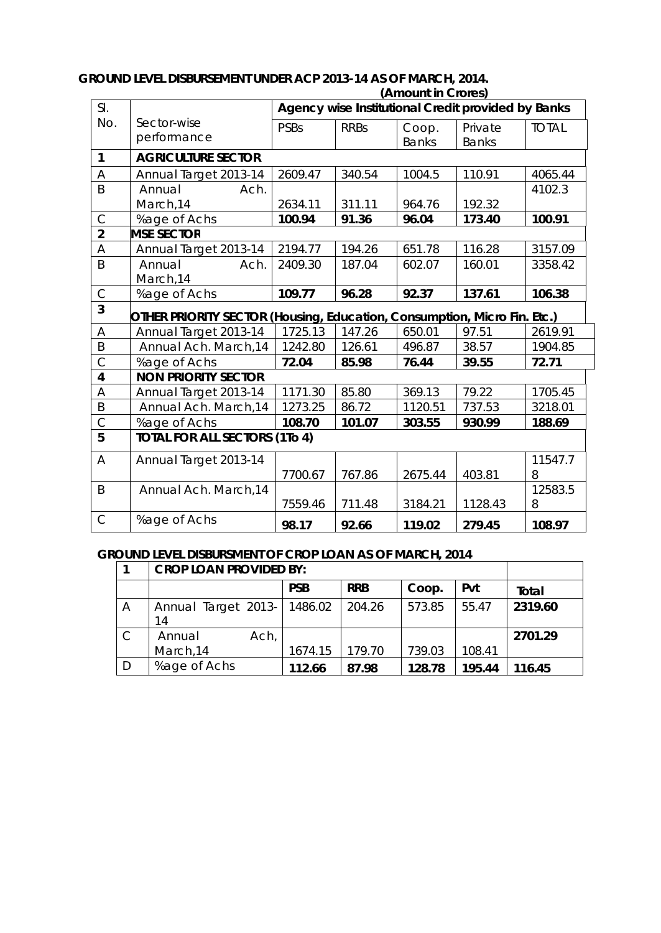| SI.                     |                                                                          | $($ ATHUUTI III VIULUJ<br>Agency wise Institutional Credit provided by Banks |             |                       |                         |              |
|-------------------------|--------------------------------------------------------------------------|------------------------------------------------------------------------------|-------------|-----------------------|-------------------------|--------------|
| No.                     | Sector-wise<br>performance                                               | <b>PSBs</b>                                                                  | <b>RRBs</b> | Coop.<br><b>Banks</b> | Private<br><b>Banks</b> | <b>TOTAL</b> |
| $\mathbf{1}$            | <b>AGRICULTURE SECTOR</b>                                                |                                                                              |             |                       |                         |              |
| A                       | Annual Target 2013-14                                                    | 2609.47                                                                      | 340.54      | 1004.5                | 110.91                  | 4065.44      |
| B                       | Annual<br>Ach.                                                           |                                                                              |             |                       |                         | 4102.3       |
|                         | March, 14                                                                | 2634.11                                                                      | 311.11      | 964.76                | 192.32                  |              |
| $\mathsf{C}$            | %age of Achs                                                             | 100.94                                                                       | 91.36       | 96.04                 | 173.40                  | 100.91       |
| $\overline{2}$          | <b>MSE SECTOR</b>                                                        |                                                                              |             |                       |                         |              |
| A                       | Annual Target 2013-14                                                    | 2194.77                                                                      | 194.26      | 651.78                | 116.28                  | 3157.09      |
| B                       | Annual<br>Ach.                                                           | 2409.30                                                                      | 187.04      | 602.07                | 160.01                  | 3358.42      |
|                         | March, 14                                                                |                                                                              |             |                       |                         |              |
| $\mathsf C$             | %age of Achs                                                             | 109.77                                                                       | 96.28       | 92.37                 | 137.61                  | 106.38       |
| $\overline{3}$          | OTHER PRIORITY SECTOR (Housing, Education, Consumption, Micro Fin. Etc.) |                                                                              |             |                       |                         |              |
| A                       | Annual Target 2013-14                                                    | 1725.13                                                                      | 147.26      | 650.01                | 97.51                   | 2619.91      |
| B                       | Annual Ach. March, 14                                                    | 1242.80                                                                      | 126.61      | 496.87                | 38.57                   | 1904.85      |
| $\overline{C}$          | %age of Achs                                                             | 72.04                                                                        | 85.98       | 76.44                 | 39.55                   | 72.71        |
| $\overline{\mathbf{4}}$ | <b>NON PRIORITY SECTOR</b>                                               |                                                                              |             |                       |                         |              |
| A                       | Annual Target 2013-14                                                    | 1171.30                                                                      | 85.80       | 369.13                | 79.22                   | 1705.45      |
| B                       | Annual Ach. March, 14                                                    | 1273.25                                                                      | 86.72       | 1120.51               | 737.53                  | 3218.01      |
| $\mathsf{C}$            | %age of Achs                                                             | 108.70                                                                       | 101.07      | 303.55                | 930.99                  | 188.69       |
| 5                       | <b>TOTAL FOR ALL SECTORS (1To 4)</b>                                     |                                                                              |             |                       |                         |              |
| A                       | Annual Target 2013-14                                                    |                                                                              |             |                       |                         | 11547.7      |
|                         |                                                                          | 7700.67                                                                      | 767.86      | 2675.44               | 403.81                  | 8            |
| B                       | Annual Ach. March, 14                                                    |                                                                              |             |                       |                         | 12583.5      |
|                         |                                                                          | 7559.46                                                                      | 711.48      | 3184.21               | 1128.43                 | 8            |
| $\mathsf{C}$            | %age of Achs                                                             | 98.17                                                                        | 92.66       | 119.02                | 279.45                  | 108.97       |

#### **GROUND LEVEL DISBURSEMENT UNDER ACP 2013-14 AS OF MARCH, 2014. (Amount in Crores)**

# **GROUND LEVEL DISBURSMENT OF CROP LOAN AS OF MARCH, 2014**

|              | <b>CROP LOAN PROVIDED BY:</b> |            |            |        |        |              |
|--------------|-------------------------------|------------|------------|--------|--------|--------------|
|              |                               | <b>PSB</b> | <b>RRB</b> | Coop.  | Pvt    | <b>Total</b> |
| Α            | Annual Target 2013-<br>14     | 1486.02    | 204.26     | 573.85 | 55.47  | 2319.60      |
| $\mathsf{C}$ | Ach,<br>Annual<br>March, 14   | 1674.15    | 179.70     | 739.03 | 108.41 | 2701.29      |
| D            | %age of Achs                  | 112.66     | 87.98      | 128.78 | 195.44 | 116.45       |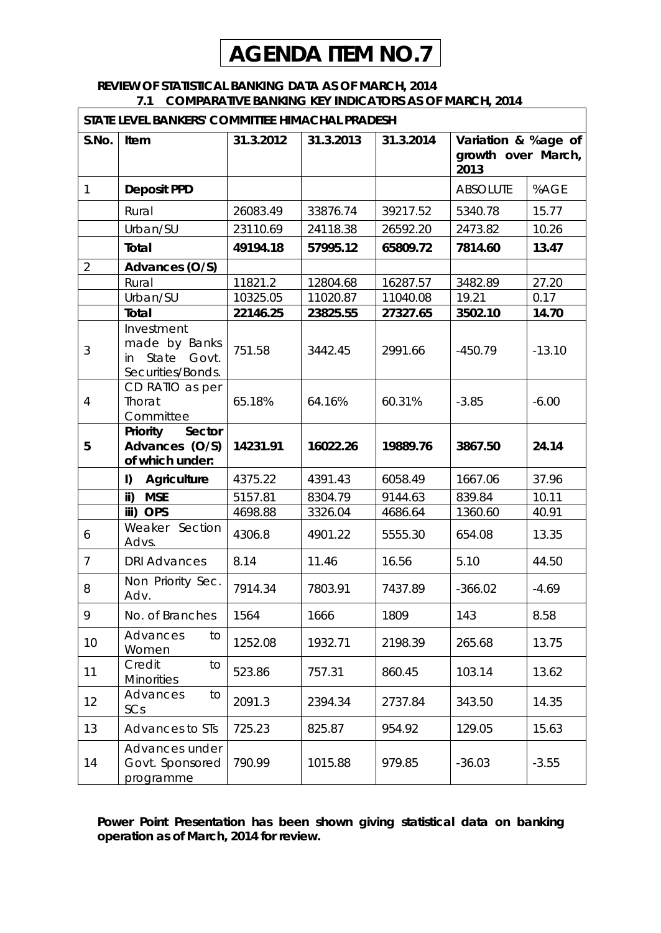# **AGENDA ITEM NO.7**

#### **REVIEW OF STATISTICAL BANKING DATA AS OF MARCH, 2014 7.1 COMPARATIVE BANKING KEY INDICATORS AS OF MARCH, 2014**

| STATE LEVEL BANKERS' COMMITTEE HIMACHAL PRADESH |                                                                       |           |           |           |                                                   |          |
|-------------------------------------------------|-----------------------------------------------------------------------|-----------|-----------|-----------|---------------------------------------------------|----------|
| S.No.                                           | Item                                                                  | 31.3.2012 | 31.3.2013 | 31.3.2014 | Variation & %age of<br>growth over March,<br>2013 |          |
| $\mathbf{1}$                                    | <b>Deposit PPD</b>                                                    |           |           |           | <b>ABSOLUTE</b>                                   | %AGE     |
|                                                 | Rural                                                                 | 26083.49  | 33876.74  | 39217.52  | 5340.78                                           | 15.77    |
|                                                 | Urban/SU                                                              | 23110.69  | 24118.38  | 26592.20  | 2473.82                                           | 10.26    |
|                                                 | <b>Total</b>                                                          | 49194.18  | 57995.12  | 65809.72  | 7814.60                                           | 13.47    |
| $\overline{2}$                                  | Advances (O/S)                                                        |           |           |           |                                                   |          |
|                                                 | Rural                                                                 | 11821.2   | 12804.68  | 16287.57  | 3482.89                                           | 27.20    |
|                                                 | Urban/SU                                                              | 10325.05  | 11020.87  | 11040.08  | 19.21                                             | 0.17     |
|                                                 | <b>Total</b>                                                          | 22146.25  | 23825.55  | 27327.65  | 3502.10                                           | 14.70    |
| 3                                               | Investment<br>made by Banks<br>State Govt.<br>in<br>Securities/Bonds. | 751.58    | 3442.45   | 2991.66   | $-450.79$                                         | $-13.10$ |
| $\overline{4}$                                  | CD RATIO as per<br>Thorat<br>Committee                                | 65.18%    | 64.16%    | 60.31%    | $-3.85$                                           | $-6.00$  |
| 5                                               | <b>Priority</b><br><b>Sector</b><br>Advances (O/S)<br>of which under: | 14231.91  | 16022.26  | 19889.76  | 3867.50                                           | 24.14    |
|                                                 | I)<br><b>Agriculture</b>                                              | 4375.22   | 4391.43   | 6058.49   | 1667.06                                           | 37.96    |
|                                                 | $\mathsf{ii}$<br><b>MSE</b>                                           | 5157.81   | 8304.79   | 9144.63   | 839.84                                            | 10.11    |
|                                                 | iii) OPS                                                              | 4698.88   | 3326.04   | 4686.64   | 1360.60                                           | 40.91    |
| 6                                               | Weaker Section<br>Advs.                                               | 4306.8    | 4901.22   | 5555.30   | 654.08                                            | 13.35    |
| $\overline{7}$                                  | <b>DRI Advances</b>                                                   | 8.14      | 11.46     | 16.56     | 5.10                                              | 44.50    |
| 8                                               | Non Priority Sec.<br>Adv.                                             | 7914.34   | 7803.91   | 7437.89   | $-366.02$                                         | $-4.69$  |
| 9                                               | No. of Branches                                                       | 1564      | 1666      | 1809      | 143                                               | 8.58     |
| 10                                              | Advances<br>to<br>Women                                               | 1252.08   | 1932.71   | 2198.39   | 265.68                                            | 13.75    |
| 11                                              | Credit<br>to<br><b>Minorities</b>                                     | 523.86    | 757.31    | 860.45    | 103.14                                            | 13.62    |
| 12                                              | Advances<br>to<br>SCs                                                 | 2091.3    | 2394.34   | 2737.84   | 343.50                                            | 14.35    |
| 13                                              | <b>Advances to STs</b>                                                | 725.23    | 825.87    | 954.92    | 129.05                                            | 15.63    |
| 14                                              | Advances under<br>Govt. Sponsored<br>programme                        | 790.99    | 1015.88   | 979.85    | $-36.03$                                          | $-3.55$  |

**Power Point Presentation has been shown giving statistical data on banking operation as of March, 2014 for review.**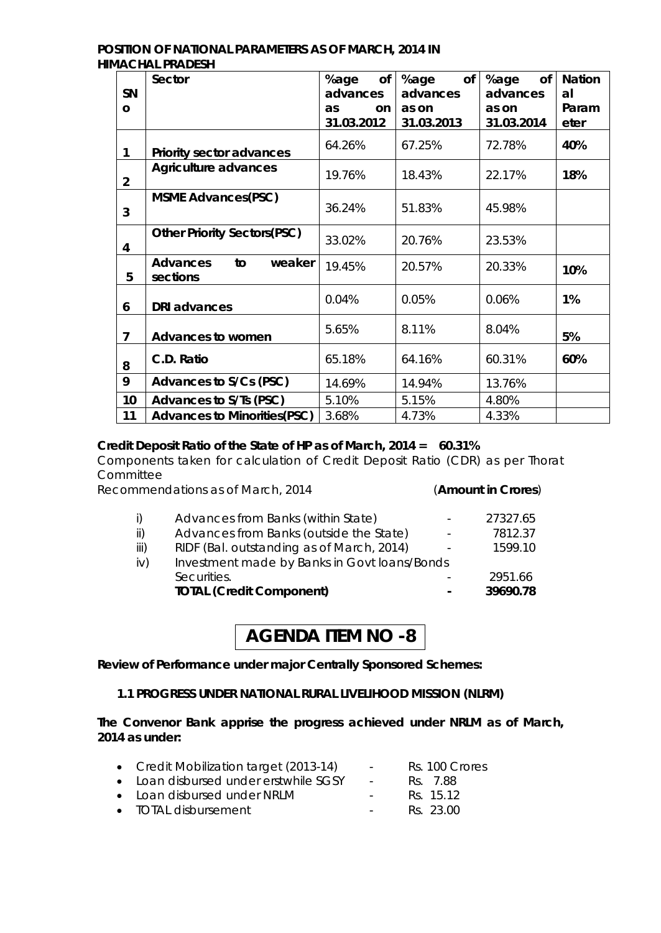#### **POSITION OF NATIONAL PARAMETERS AS OF MARCH, 2014 IN HIMACHAL PRADESH**

|                | <b>Sector</b>                               | %age<br>of | %age<br>of | %age<br><b>of</b> | <b>Nation</b> |
|----------------|---------------------------------------------|------------|------------|-------------------|---------------|
| <b>SN</b>      |                                             | advances   | advances   | advances          | al            |
| O              |                                             | as<br>on   | as on      | as on             | Param         |
|                |                                             | 31.03.2012 | 31.03.2013 | 31.03.2014        | eter          |
| 1              | <b>Priority sector advances</b>             | 64.26%     | 67.25%     | 72.78%            | 40%           |
| $\overline{2}$ | <b>Agriculture advances</b>                 | 19.76%     | 18.43%     | 22.17%            | 18%           |
| 3              | <b>MSME Advances(PSC)</b>                   | 36.24%     | 51.83%     | 45.98%            |               |
| 4              | <b>Other Priority Sectors(PSC)</b>          | 33.02%     | 20.76%     | 23.53%            |               |
| 5              | <b>Advances</b><br>weaker<br>to<br>sections | 19.45%     | 20.57%     | 20.33%            | 10%           |
| 6              | <b>DRI</b> advances                         | 0.04%      | 0.05%      | 0.06%             | 1%            |
| 7              | <b>Advances to women</b>                    | 5.65%      | 8.11%      | 8.04%             | 5%            |
| 8              | C.D. Ratio                                  | 65.18%     | 64.16%     | 60.31%            | 60%           |
| 9              | <b>Advances to S/Cs (PSC)</b>               | 14.69%     | 14.94%     | 13.76%            |               |
| 10             | Advances to S/Ts (PSC)                      | 5.10%      | 5.15%      | 4.80%             |               |
| 11             | <b>Advances to Minorities (PSC)</b>         | 3.68%      | 4.73%      | 4.33%             |               |

### **Credit Deposit Ratio of the State of HP as of March, 2014 = 60.31%**

Components taken for calculation of Credit Deposit Ratio (CDR) as per Thorat **Committee** 

Recommendations as of March, 2014 (**Amount in Crores**)

| iii) | RIDF (Bal. outstanding as of March, 2014)    |                          | 1599.10  |
|------|----------------------------------------------|--------------------------|----------|
| iv)  | Investment made by Banks in Govt loans/Bonds |                          |          |
|      | Securities.                                  |                          | 2951.66  |
|      | <b>TOTAL (Credit Component)</b>              | $\overline{\phantom{0}}$ | 39690.78 |

# **AGENDA ITEM NO -8**

**Review of Performance under major Centrally Sponsored Schemes:**

#### **1.1 PROGRESS UNDER NATIONAL RURAL LIVELIHOOD MISSION (NLRM)**

**The Convenor Bank apprise the progress achieved under NRLM as of March, 2014 as under:**

| • Credit Mobilization target (2013-14) | $\sim 100$ | Rs. 100 Crores |
|----------------------------------------|------------|----------------|
| • Loan disbursed under erstwhile SGSY  | $\sim$ $-$ | RS 7.88        |
| • Loan disbursed under NRLM            | $\sim 100$ | Rs. 15.12      |
| • TOTAL disbursement                   | $\sim 100$ | Rs. 23.00      |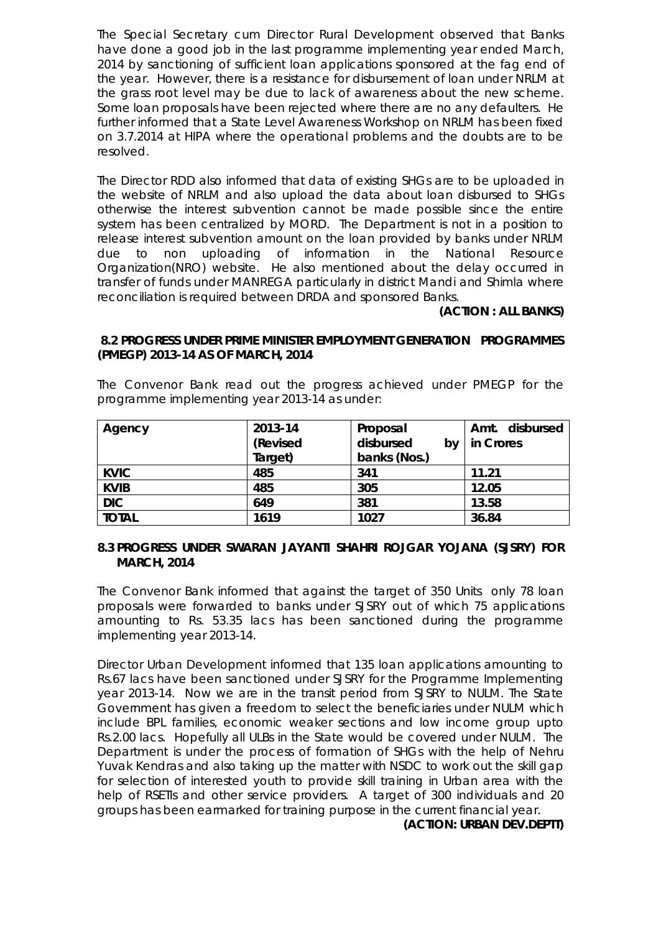The Special Secretary cum Director Rural Development observed that Banks have done a good job in the last programme implementing year ended March, 2014 by sanctioning of sufficient loan applications sponsored at the fag end of the year. However, there is a resistance for disbursement of loan under NRLM at the grass root level may be due to lack of awareness about the new scheme. Some loan proposals have been rejected where there are no any defaulters. He further informed that a State Level Awareness Workshop on NRLM has been fixed on 3.7.2014 at HIPA where the operational problems and the doubts are to be resolved.

The Director RDD also informed that data of existing SHGs are to be uploaded in the website of NRLM and also upload the data about loan disbursed to SHGs otherwise the interest subvention cannot be made possible since the entire system has been centralized by MORD. The Department is not in a position to release interest subvention amount on the loan provided by banks under NRLM due to non uploading of information in the National Resource Organization(NRO) website. He also mentioned about the delay occurred in transfer of funds under MANREGA particularly in district Mandi and Shimla where reconciliation is required between DRDA and sponsored Banks.

#### **(ACTION : ALL BANKS)**

#### **8.2 PROGRESS UNDER PRIME MINISTER EMPLOYMENT GENERATION PROGRAMMES (PMEGP) 2013-14 AS OF MARCH, 2014**

The Convenor Bank read out the progress achieved under PMEGP for the programme implementing year 2013-14 as under:

| Agency       | 2013-14  | Proposal        | disbursed<br>Amt. |
|--------------|----------|-----------------|-------------------|
|              | (Revised | disbursed<br>b٧ | in Crores         |
|              | Target)  | banks (Nos.)    |                   |
| <b>KVIC</b>  | 485      | 341             | 11.21             |
| <b>KVIB</b>  | 485      | 305             | 12.05             |
| <b>DIC</b>   | 649      | 381             | 13.58             |
| <b>TOTAL</b> | 1619     | 1027            | 36.84             |

#### **8.3 PROGRESS UNDER SWARAN JAYANTI SHAHRI ROJGAR YOJANA (SJSRY) FOR MARCH, 2014**

The Convenor Bank informed that against the target of 350 Units only 78 loan proposals were forwarded to banks under SJSRY out of which 75 applications amounting to Rs. 53.35 lacs has been sanctioned during the programme implementing year 2013-14.

Director Urban Development informed that 135 loan applications amounting to Rs.67 lacs have been sanctioned under SJSRY for the Programme Implementing year 2013-14. Now we are in the transit period from SJSRY to NULM. The State Government has given a freedom to select the beneficiaries under NULM which include BPL families, economic weaker sections and low income group upto Rs.2.00 lacs. Hopefully all ULBs in the State would be covered under NULM. The Department is under the process of formation of SHGs with the help of Nehru Yuvak Kendras and also taking up the matter with NSDC to work out the skill gap for selection of interested youth to provide skill training in Urban area with the help of RSETIs and other service providers. A target of 300 individuals and 20 groups has been earmarked for training purpose in the current financial year.

#### **(ACTION: URBAN DEV.DEPTT)**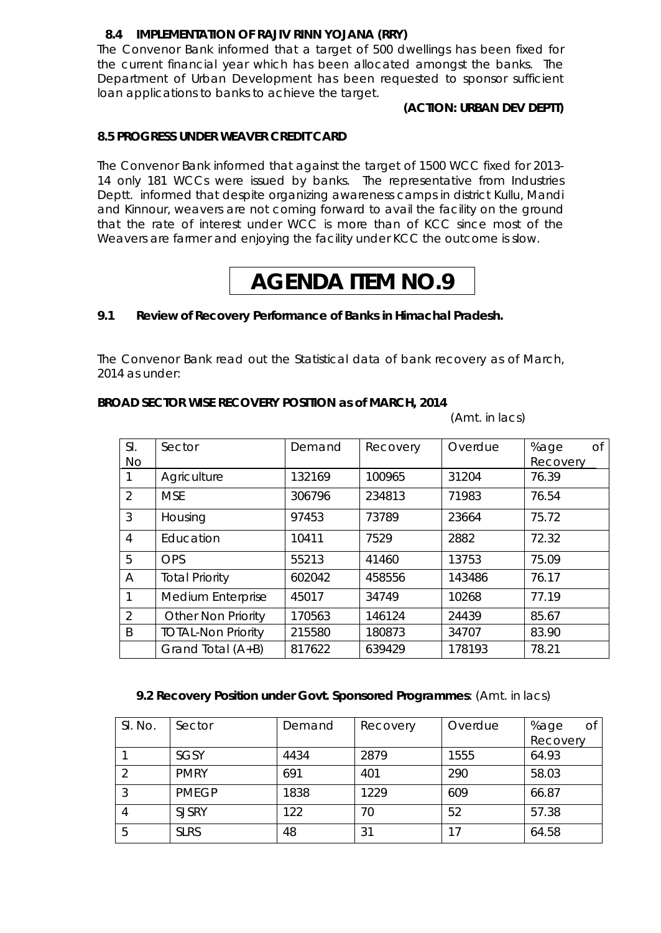#### **8.4 IMPLEMENTATION OF RAJIV RINN YOJANA (RRY)**

The Convenor Bank informed that a target of 500 dwellings has been fixed for the current financial year which has been allocated amongst the banks. The Department of Urban Development has been requested to sponsor sufficient loan applications to banks to achieve the target.

#### **(ACTION: URBAN DEV DEPTT)**

#### **8.5 PROGRESS UNDER WEAVER CREDIT CARD**

The Convenor Bank informed that against the target of 1500 WCC fixed for 2013- 14 only 181 WCCs were issued by banks. The representative from Industries Deptt. informed that despite organizing awareness camps in district Kullu, Mandi and Kinnour, weavers are not coming forward to avail the facility on the ground that the rate of interest under WCC is more than of KCC since most of the Weavers are farmer and enjoying the facility under KCC the outcome is slow.

# **AGENDA ITEM NO.9**

#### **9.1 Review of Recovery Performance of Banks in Himachal Pradesh.**

The Convenor Bank read out the Statistical data of bank recovery as of March, 2014 as under:

#### **BROAD SECTOR WISE RECOVERY POSITION as of MARCH, 2014**

(Amt. in lacs)

| SI.<br>No      | Sector                    | Demand | Recovery | Overdue | %age<br><b>of</b><br>Recovery |
|----------------|---------------------------|--------|----------|---------|-------------------------------|
|                | Agriculture               | 132169 | 100965   | 31204   | 76.39                         |
| $\overline{2}$ | <b>MSE</b>                | 306796 | 234813   | 71983   | 76.54                         |
| 3              | Housing                   | 97453  | 73789    | 23664   | 75.72                         |
| $\overline{4}$ | Education                 | 10411  | 7529     | 2882    | 72.32                         |
| 5              | <b>OPS</b>                | 55213  | 41460    | 13753   | 75.09                         |
| A              | <b>Total Priority</b>     | 602042 | 458556   | 143486  | 76.17                         |
| 1              | <b>Medium Enterprise</b>  | 45017  | 34749    | 10268   | 77.19                         |
| $\overline{2}$ | <b>Other Non Priority</b> | 170563 | 146124   | 24439   | 85.67                         |
| B              | <b>TOTAL-Non Priority</b> | 215580 | 180873   | 34707   | 83.90                         |
|                | Grand Total (A+B)         | 817622 | 639429   | 178193  | 78.21                         |

#### **9.2 Recovery Position under Govt. Sponsored Programmes**: (Amt. in lacs)

| SI. No. | Sector       | Demand | Recovery | Overdue | %age<br>Οf |
|---------|--------------|--------|----------|---------|------------|
|         |              |        |          |         | Recovery   |
|         | <b>SGSY</b>  | 4434   | 2879     | 1555    | 64.93      |
|         | <b>PMRY</b>  | 691    | 401      | 290     | 58.03      |
| 3       | <b>PMEGP</b> | 1838   | 1229     | 609     | 66.87      |
| 4       | <b>SJSRY</b> | 122    | 70       | 52      | 57.38      |
| 5       | <b>SLRS</b>  | 48     | 31       | 17      | 64.58      |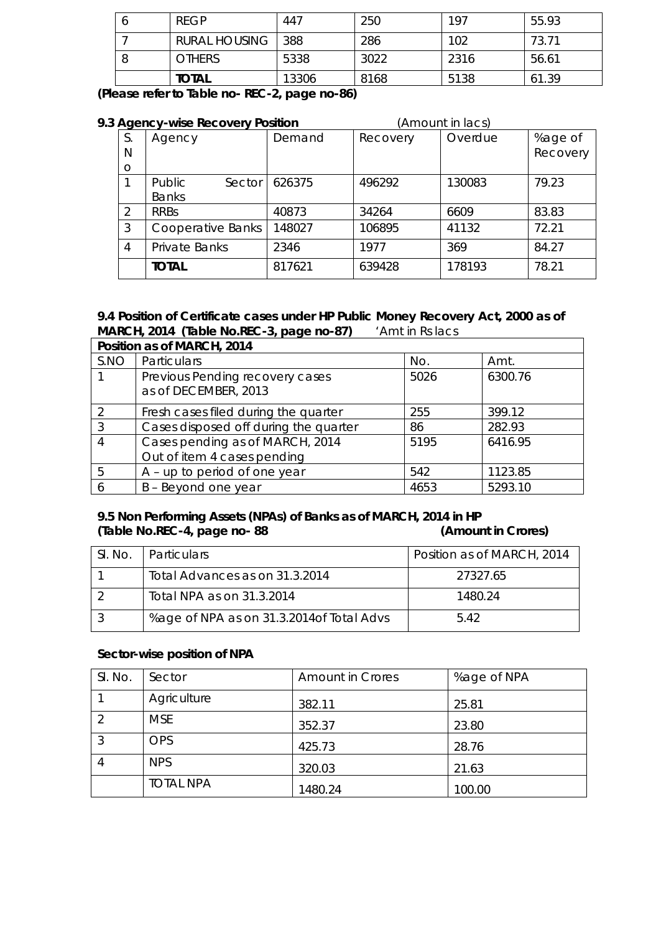| <b>REGP</b>          | 447   | 250  | 197  | 55.93 |
|----------------------|-------|------|------|-------|
| <b>RURAL HOUSING</b> | 388   | 286  | 102  | 73.71 |
| <b>OTHERS</b>        | 5338  | 3022 | 2316 | 56.61 |
| <b>TOTAL</b>         | 13306 | 8168 | 5138 | 61.39 |

**(Please refer to Table no- REC-2, page no-86)**

| 9.3 Agency-wise Recovery Position |                      |        | (Amount in lacs) |         |          |
|-----------------------------------|----------------------|--------|------------------|---------|----------|
| S.                                | Agency               | Demand | Recovery         | Overdue | %age of  |
| N                                 |                      |        |                  |         | Recovery |
| $\circ$                           |                      |        |                  |         |          |
|                                   | Public<br>Sector     | 626375 | 496292           | 130083  | 79.23    |
|                                   | <b>Banks</b>         |        |                  |         |          |
| 2                                 | <b>RRBs</b>          | 40873  | 34264            | 6609    | 83.83    |
| 3                                 | Cooperative Banks    | 148027 | 106895           | 41132   | 72.21    |
| 4                                 | <b>Private Banks</b> | 2346   | 1977             | 369     | 84.27    |
|                                   | <b>TOTAL</b>         | 817621 | 639428           | 178193  | 78.21    |

## **9.4 Position of Certificate cases under HP Public Money Recovery Act, 2000 as of MARCH, 2014 (Table No.REC-3, page no-87)** 'Amt in Rs lacs

|      | Position as of MARCH, 2014                                     |      |         |  |  |
|------|----------------------------------------------------------------|------|---------|--|--|
| S.NO | Particulars                                                    | No.  | Amt.    |  |  |
|      | Previous Pending recovery cases<br>as of DECEMBER, 2013        | 5026 | 6300.76 |  |  |
| 2    | Fresh cases filed during the quarter                           | 255  | 399.12  |  |  |
| 3    | Cases disposed off during the quarter                          | 86   | 282.93  |  |  |
| 4    | Cases pending as of MARCH, 2014<br>Out of item 4 cases pending | 5195 | 6416.95 |  |  |
| 5    | $A - up$ to period of one year                                 | 542  | 1123.85 |  |  |
|      |                                                                |      |         |  |  |
| 6    | B - Beyond one year                                            | 4653 | 5293.10 |  |  |

### **9.5 Non Performing Assets (NPAs) of Banks as of MARCH, 2014 in HP (Table No.REC-4, page no- 88 (Amount in Crores)**

| SI. No. | Particulars                               | Position as of MARCH, 2014 |
|---------|-------------------------------------------|----------------------------|
|         | Total Advances as on 31.3.2014            | 27327.65                   |
|         | Total NPA as on 31.3.2014                 | 1480.24                    |
|         | %age of NPA as on 31.3.2014 of Total Advs | 542                        |

#### **Sector-wise position of NPA**

| SI. No. | Sector           | <b>Amount in Crores</b> | %age of NPA |
|---------|------------------|-------------------------|-------------|
|         | Agriculture      | 382.11                  | 25.81       |
| 2       | <b>MSE</b>       | 352.37                  | 23.80       |
| 3       | <b>OPS</b>       | 425.73                  | 28.76       |
| 4       | <b>NPS</b>       | 320.03                  | 21.63       |
|         | <b>TOTAL NPA</b> | 1480.24                 | 100.00      |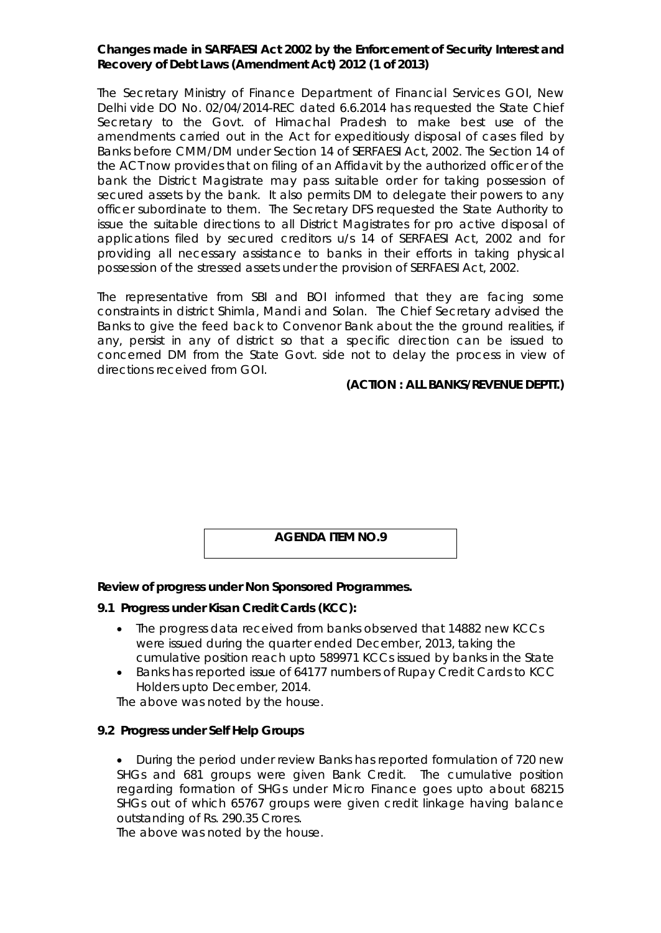#### **Changes made in SARFAESI Act 2002 by the Enforcement of Security Interest and Recovery of Debt Laws (Amendment Act) 2012 (1 of 2013)**

The Secretary Ministry of Finance Department of Financial Services GOI, New Delhi vide DO No. 02/04/2014-REC dated 6.6.2014 has requested the State Chief Secretary to the Govt. of Himachal Pradesh to make best use of the amendments carried out in the Act for expeditiously disposal of cases filed by Banks before CMM/DM under Section 14 of SERFAESI Act, 2002. The Section 14 of the ACT now provides that on filing of an Affidavit by the authorized officer of the bank the District Magistrate may pass suitable order for taking possession of secured assets by the bank. It also permits DM to delegate their powers to any officer subordinate to them. The Secretary DFS requested the State Authority to issue the suitable directions to all District Magistrates for pro active disposal of applications filed by secured creditors u/s 14 of SERFAESI Act, 2002 and for providing all necessary assistance to banks in their efforts in taking physical possession of the stressed assets under the provision of SERFAESI Act, 2002.

The representative from SBI and BOI informed that they are facing some constraints in district Shimla, Mandi and Solan. The Chief Secretary advised the Banks to give the feed back to Convenor Bank about the the ground realities, if any, persist in any of district so that a specific direction can be issued to concerned DM from the State Govt. side not to delay the process in view of directions received from GOI.

#### **(ACTION : ALL BANKS/REVENUE DEPTT.)**

#### **AGENDA ITEM NO.9**

#### **Review of progress under Non Sponsored Programmes.**

#### **9.1 Progress under Kisan Credit Cards (KCC):**

- The progress data received from banks observed that 14882 new KCCs were issued during the quarter ended December, 2013, taking the cumulative position reach upto 589971 KCCs issued by banks in the State
- Banks has reported issue of 64177 numbers of Rupay Credit Cards to KCC Holders upto December, 2014.

The above was noted by the house.

#### **9.2 Progress under Self Help Groups**

 During the period under review Banks has reported formulation of 720 new SHGs and 681 groups were given Bank Credit. The cumulative position regarding formation of SHGs under Micro Finance goes upto about 68215 SHGs out of which 65767 groups were given credit linkage having balance outstanding of Rs. 290.35 Crores.

The above was noted by the house.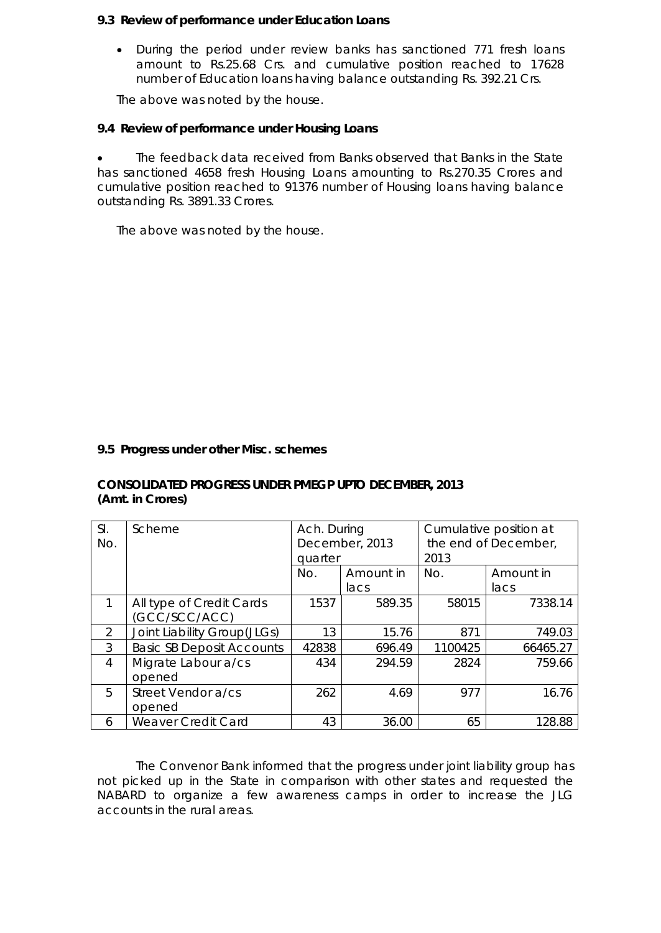#### **9.3 Review of performance under Education Loans**

 During the period under review banks has sanctioned 771 fresh loans amount to Rs.25.68 Crs. and cumulative position reached to 17628 number of Education loans having balance outstanding Rs. 392.21 Crs.

The above was noted by the house.

#### **9.4 Review of performance under Housing Loans**

 The feedback data received from Banks observed that Banks in the State has sanctioned 4658 fresh Housing Loans amounting to Rs.270.35 Crores and cumulative position reached to 91376 number of Housing loans having balance outstanding Rs. 3891.33 Crores.

The above was noted by the house.

#### **9.5 Progress under other Misc. schemes**

#### **CONSOLIDATED PROGRESS UNDER PMEGP UPTO DECEMBER, 2013 (Amt. in Crores)**

| SI.<br>No.    | Scheme                                    | Ach. During<br>December, 2013<br>quarter |                | Cumulative position at<br>the end of December,<br>2013 |                 |
|---------------|-------------------------------------------|------------------------------------------|----------------|--------------------------------------------------------|-----------------|
|               |                                           | No.                                      | Amount in      | No.                                                    | Amount in       |
| 1             | All type of Credit Cards<br>(GCC/SCC/ACC) | 1537                                     | lacs<br>589.35 | 58015                                                  | lacs<br>7338.14 |
| $\mathcal{P}$ | Joint Liability Group(JLGs)               | 13                                       | 15.76          | 871                                                    | 749.03          |
| 3             | <b>Basic SB Deposit Accounts</b>          | 42838                                    | 696.49         | 1100425                                                | 66465.27        |
| 4             | Migrate Labour a/cs<br>opened             | 434                                      | 294.59         | 2824                                                   | 759.66          |
| 5             | Street Vendor a/cs<br>opened              | 262                                      | 4.69           | 977                                                    | 16.76           |
| 6             | Weaver Credit Card                        | 43                                       | 36.00          | 65                                                     | 128.88          |

The Convenor Bank informed that the progress under joint liability group has not picked up in the State in comparison with other states and requested the NABARD to organize a few awareness camps in order to increase the JLG accounts in the rural areas.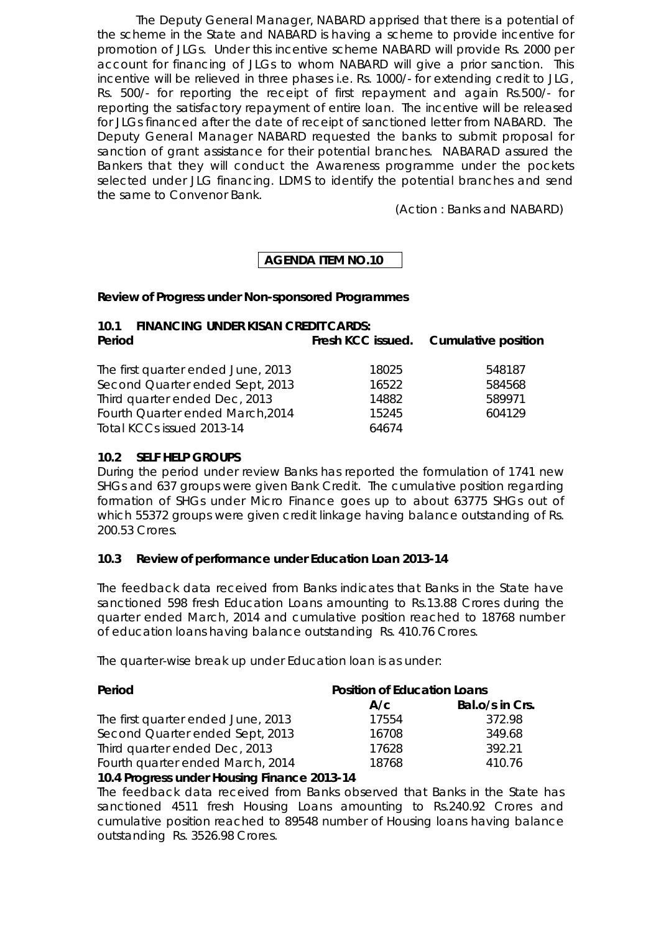The Deputy General Manager, NABARD apprised that there is a potential of the scheme in the State and NABARD is having a scheme to provide incentive for promotion of JLGs. Under this incentive scheme NABARD will provide Rs. 2000 per account for financing of JLGs to whom NABARD will give a prior sanction. This incentive will be relieved in three phases i.e. Rs. 1000/- for extending credit to JLG, Rs. 500/- for reporting the receipt of first repayment and again Rs.500/- for reporting the satisfactory repayment of entire loan. The incentive will be released for JLGs financed after the date of receipt of sanctioned letter from NABARD. The Deputy General Manager NABARD requested the banks to submit proposal for sanction of grant assistance for their potential branches. NABARAD assured the Bankers that they will conduct the Awareness programme under the pockets selected under JLG financing. LDMS to identify the potential branches and send the same to Convenor Bank.

(Action : Banks and NABARD)

## **AGENDA ITEM NO.10**

#### **Review of Progress under Non-sponsored Programmes**

| 10.1 FINANCING UNDER KISAN CREDIT CARDS: |       |                                       |  |  |
|------------------------------------------|-------|---------------------------------------|--|--|
| Period                                   |       | Fresh KCC issued. Cumulative position |  |  |
| The first quarter ended June, 2013       | 18025 | 548187                                |  |  |
| Second Quarter ended Sept, 2013          | 16522 | 584568                                |  |  |
| Third quarter ended Dec, 2013            | 14882 | 589971                                |  |  |
| Fourth Quarter ended March, 2014         | 15245 | 604129                                |  |  |
| Total KCCs issued 2013-14                | 64674 |                                       |  |  |

#### **10.2 SELF HELP GROUPS**

During the period under review Banks has reported the formulation of 1741 new SHGs and 637 groups were given Bank Credit. The cumulative position regarding formation of SHGs under Micro Finance goes up to about 63775 SHGs out of which 55372 groups were given credit linkage having balance outstanding of Rs. 200.53 Crores.

#### **10.3 Review of performance under Education Loan 2013-14**

The feedback data received from Banks indicates that Banks in the State have sanctioned 598 fresh Education Loans amounting to Rs.13.88 Crores during the quarter ended March, 2014 and cumulative position reached to 18768 number of education loans having balance outstanding Rs. 410.76 Crores.

The quarter-wise break up under Education loan is as under:

| Period                             | <b>Position of Education Loans</b> |                 |  |
|------------------------------------|------------------------------------|-----------------|--|
|                                    | A/c                                | Bal.o/s in Crs. |  |
| The first quarter ended June, 2013 | 17554                              | 372.98          |  |
| Second Quarter ended Sept, 2013    | 16708                              | 349.68          |  |
| Third quarter ended Dec, 2013      | 17628                              | 392.21          |  |
| Fourth quarter ended March, 2014   | 18768                              | 410.76          |  |

#### **10.4 Progress under Housing Finance 2013-14**

The feedback data received from Banks observed that Banks in the State has sanctioned 4511 fresh Housing Loans amounting to Rs.240.92 Crores and cumulative position reached to 89548 number of Housing loans having balance outstanding Rs. 3526.98 Crores.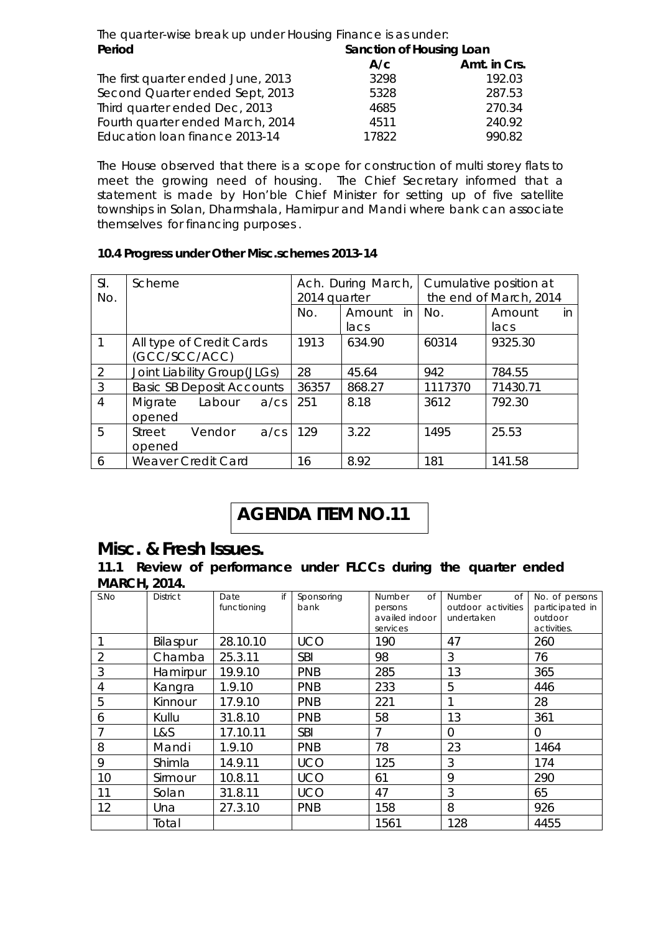The quarter-wise break up under Housing Finance is as under: **Period** Sanction of Housing Loan **A/c Amt. in Crs.** The first quarter ended June, 2013 192.03 Second Quarter ended Sept, 2013 5328 5328 287.53 Third quarter ended Dec, 2013 4685 270.34 Fourth quarter ended March, 2014 4511 240.92 Education loan finance 2013-14 17822 990.82

The House observed that there is a scope for construction of multi storey flats to meet the growing need of housing. The Chief Secretary informed that a statement is made by Hon'ble Chief Minister for setting up of five satellite townships in Solan, Dharmshala, Hamirpur and Mandi where bank can associate themselves for financing purposes .

#### **10.4 Progress under Other Misc.schemes 2013-14**

| SI.<br>No.     | Scheme                           |                                           | 2014 quarter  | Ach. During March, | Cumulative position at<br>the end of March, 2014 |          |                |     |
|----------------|----------------------------------|-------------------------------------------|---------------|--------------------|--------------------------------------------------|----------|----------------|-----|
|                |                                  |                                           |               | No.                | Amount in<br>lacs                                | No.      | Amount<br>lacs | in. |
| 1              |                                  | All type of Credit Cards<br>(GCC/SCC/ACC) |               | 1913               | 634.90                                           | 60314    | 9325.30        |     |
| 2              | Joint Liability Group(JLGs)      |                                           | 28            | 45.64              | 942                                              | 784.55   |                |     |
| 3              | <b>Basic SB Deposit Accounts</b> |                                           | 36357         | 868.27             | 1117370                                          | 71430.71 |                |     |
| $\overline{4}$ | Migrate<br>opened                | Labour                                    | $a$ /cs   251 |                    | 8.18                                             | 3612     | 792.30         |     |
| 5              | Street<br>opened                 | Vendor                                    | $a$ / $cs$    | 129                | 3.22                                             | 1495     | 25.53          |     |
| 6              |                                  | <b>Weaver Credit Card</b>                 |               | 16                 | 8.92                                             | 181      | 141.58         |     |

# **AGENDA ITEM NO.11**

# **Misc. & Fresh Issues.**

**11.1 Review of performance under FLCCs during the quarter ended MARCH, 2014.**

| S.No | <b>District</b> | if<br>Date<br>functioning | Sponsoring<br>bank | <b>Number</b><br>0f<br>persons<br>availed indoor<br>services | <b>Number</b><br>$\Omega$<br>outdoor activities<br>undertaken | No. of persons<br>participated in<br>outdoor<br>activities. |
|------|-----------------|---------------------------|--------------------|--------------------------------------------------------------|---------------------------------------------------------------|-------------------------------------------------------------|
|      | Bilaspur        | 28.10.10                  | <b>UCO</b>         | 190                                                          | 47                                                            | 260                                                         |
| 2    | Chamba          | 25.3.11                   | <b>SBI</b>         | 98                                                           | 3                                                             | 76                                                          |
| 3    | Hamirpur        | 19.9.10                   | <b>PNB</b>         | 285                                                          | 13                                                            | 365                                                         |
| 4    | Kangra          | 1.9.10                    | PNB                | 233                                                          | 5                                                             | 446                                                         |
| 5    | Kinnour         | 17.9.10                   | <b>PNB</b>         | 221                                                          |                                                               | 28                                                          |
| 6    | Kullu           | 31.8.10                   | <b>PNB</b>         | 58                                                           | 13                                                            | 361                                                         |
| 7    | L&S             | 17.10.11                  | <b>SBI</b>         | 7                                                            | $\overline{0}$                                                | 0                                                           |
| 8    | Mandi           | 1.9.10                    | <b>PNB</b>         | 78                                                           | 23                                                            | 1464                                                        |
| 9    | Shimla          | 14.9.11                   | <b>UCO</b>         | 125                                                          | 3                                                             | 174                                                         |
| 10   | Sirmour         | 10.8.11                   | <b>UCO</b>         | 61                                                           | 9                                                             | 290                                                         |
| 11   | Solan           | 31.8.11                   | <b>UCO</b>         | 47                                                           | 3                                                             | 65                                                          |
| 12   | Una             | 27.3.10                   | <b>PNB</b>         | 158                                                          | 8                                                             | 926                                                         |
|      | Total           |                           |                    | 1561                                                         | 128                                                           | 4455                                                        |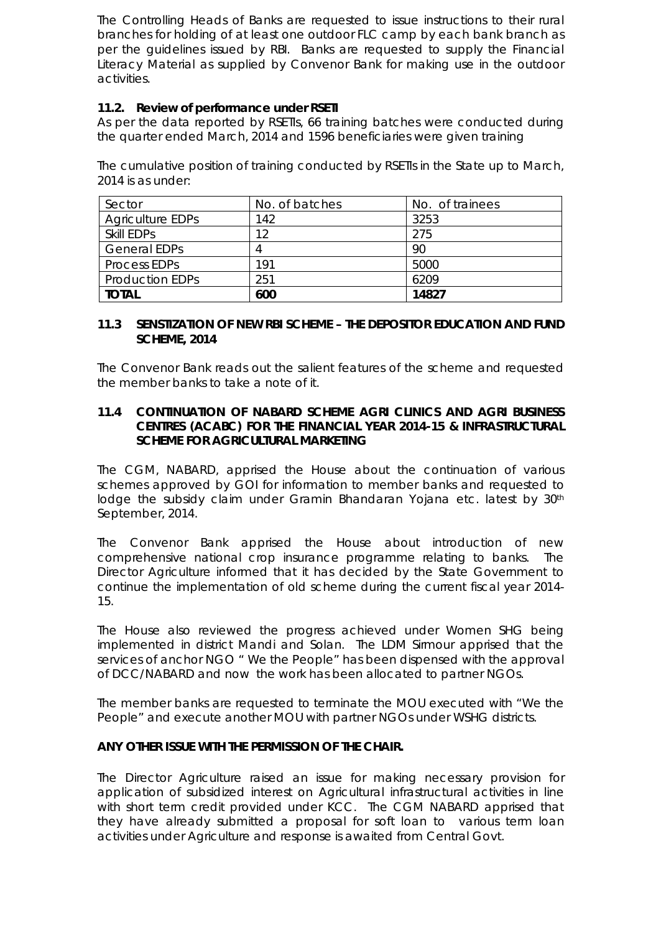The Controlling Heads of Banks are requested to issue instructions to their rural branches for holding of at least one outdoor FLC camp by each bank branch as per the guidelines issued by RBI. Banks are requested to supply the Financial Literacy Material as supplied by Convenor Bank for making use in the outdoor activities.

#### **11.2. Review of performance under RSETI**

As per the data reported by RSETIs, 66 training batches were conducted during the quarter ended March, 2014 and 1596 beneficiaries were given training

The cumulative position of training conducted by RSETIs in the State up to March, 2014 is as under:

| Sector                  | No. of batches | No. of trainees |
|-------------------------|----------------|-----------------|
| <b>Agriculture EDPs</b> | 142            | 3253            |
| Skill EDPs              | 12             | 275             |
| <b>General EDPs</b>     |                | 90              |
| Process EDPs            | 191            | 5000            |
| <b>Production EDPs</b>  | 251            | 6209            |
| <b>TOTAL</b>            | 600            | 14827           |

#### **11.3 SENSTIZATION OF NEW RBI SCHEME – THE DEPOSITOR EDUCATION AND FUND SCHEME, 2014**

The Convenor Bank reads out the salient features of the scheme and requested the member banks to take a note of it.

#### **11.4 CONTINUATION OF NABARD SCHEME AGRI CLINICS AND AGRI BUSINESS CENTRES (ACABC) FOR THE FINANCIAL YEAR 2014-15 & INFRASTRUCTURAL SCHEME FOR AGRICULTURAL MARKETING**

The CGM, NABARD, apprised the House about the continuation of various schemes approved by GOI for information to member banks and requested to lodge the subsidy claim under Gramin Bhandaran Yojana etc. latest by 30<sup>th</sup> September, 2014.

The Convenor Bank apprised the House about introduction of new comprehensive national crop insurance programme relating to banks. The Director Agriculture informed that it has decided by the State Government to continue the implementation of old scheme during the current fiscal year 2014- 15.

The House also reviewed the progress achieved under Women SHG being implemented in district Mandi and Solan. The LDM Sirmour apprised that the services of anchor NGO " We the People" has been dispensed with the approval of DCC/NABARD and now the work has been allocated to partner NGOs.

The member banks are requested to terminate the MOU executed with "We the People" and execute another MOU with partner NGOs under WSHG districts.

#### **ANY OTHER ISSUE WITH THE PERMISSION OF THE CHAIR.**

The Director Agriculture raised an issue for making necessary provision for application of subsidized interest on Agricultural infrastructural activities in line with short term credit provided under KCC. The CGM NABARD apprised that they have already submitted a proposal for soft loan to various term loan activities under Agriculture and response is awaited from Central Govt.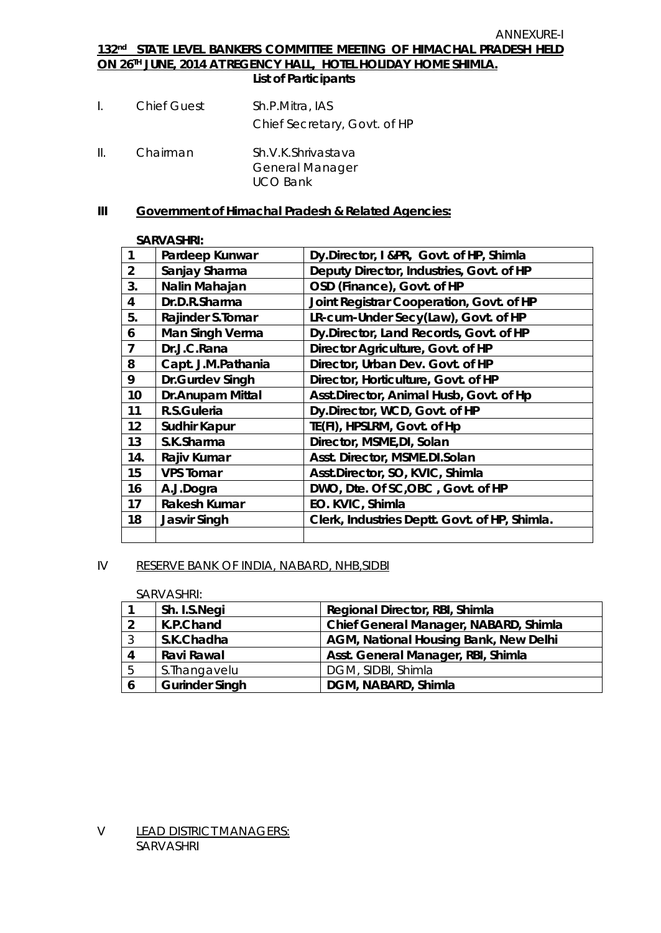#### **132 nd STATE LEVEL BANKERS COMMITTEE MEETING OF HIMACHAL PRADESH HELD ON 26 TH JUNE, 2014 AT REGENCY HALL, HOTEL HOLIDAY HOME SHIMLA. List of Participants**

- I. Chief Guest Sh.P.Mitra, IAS Chief Secretary, Govt. of HP
- II. Chairman Sh.V.K.Shrivastava General Manager UCO Bank

#### **III Government of Himachal Pradesh & Related Agencies:**

#### **SARVASHRI:**

| $\mathbf{1}$            | Pardeep Kunwar         | Dy.Director, I &PR, Govt. of HP, Shimla       |
|-------------------------|------------------------|-----------------------------------------------|
| $\overline{2}$          | Sanjay Sharma          | Deputy Director, Industries, Govt. of HP      |
| 3.                      | Nalin Mahajan          | OSD (Finance), Govt. of HP                    |
| $\overline{\mathbf{4}}$ | Dr.D.R.Sharma          | Joint Registrar Cooperation, Govt. of HP      |
| 5.                      | Rajinder S.Tomar       | LR-cum-Under Secy(Law), Govt. of HP           |
| 6                       | <b>Man Singh Verma</b> | Dy.Director, Land Records, Govt. of HP        |
| $\overline{7}$          | Dr.J.C.Rana            | Director Agriculture, Govt. of HP             |
| 8                       | Capt. J.M.Pathania     | Director, Urban Dev. Govt. of HP              |
| 9                       | <b>Dr.Gurdev Singh</b> | Director, Horticulture, Govt. of HP           |
| 10                      | Dr.Anupam Mittal       | Asst.Director, Animal Husb, Govt. of Hp       |
| 11                      | R.S.Guleria            | Dy.Director, WCD, Govt. of HP                 |
| 12                      | <b>Sudhir Kapur</b>    | TE(FI), HPSLRM, Govt. of Hp                   |
| 13                      | S.K.Sharma             | Director, MSME, DI, Solan                     |
| 14.                     | Rajiv Kumar            | Asst. Director, MSME.DI.Solan                 |
| 15                      | <b>VPS Tomar</b>       | Asst.Director, SO, KVIC, Shimla               |
| 16                      | A.J.Dogra              | DWO, Dte. Of SC, OBC, Govt. of HP             |
| 17                      | <b>Rakesh Kumar</b>    | EO. KVIC, Shimla                              |
| 18                      | <b>Jasvir Singh</b>    | Clerk, Industries Deptt. Govt. of HP, Shimla. |
|                         |                        |                                               |

#### IV RESERVE BANK OF INDIA, NABARD, NHB,SIDBI

#### SARVASHRI:

|    | Sh. I.S.Negi          | Regional Director, RBI, Shimla               |
|----|-----------------------|----------------------------------------------|
| າ  | K.P.Chand             | Chief General Manager, NABARD, Shimla        |
| -3 | S.K.Chadha            | <b>AGM, National Housing Bank, New Delhi</b> |
| 4  | <b>Ravi Rawal</b>     | Asst. General Manager, RBI, Shimla           |
| 5  | S. Thangavelu         | DGM, SIDBI, Shimla                           |
| O  | <b>Gurinder Singh</b> | DGM, NABARD, Shimla                          |

V LEAD DISTRICT MANAGERS: SARVASHRI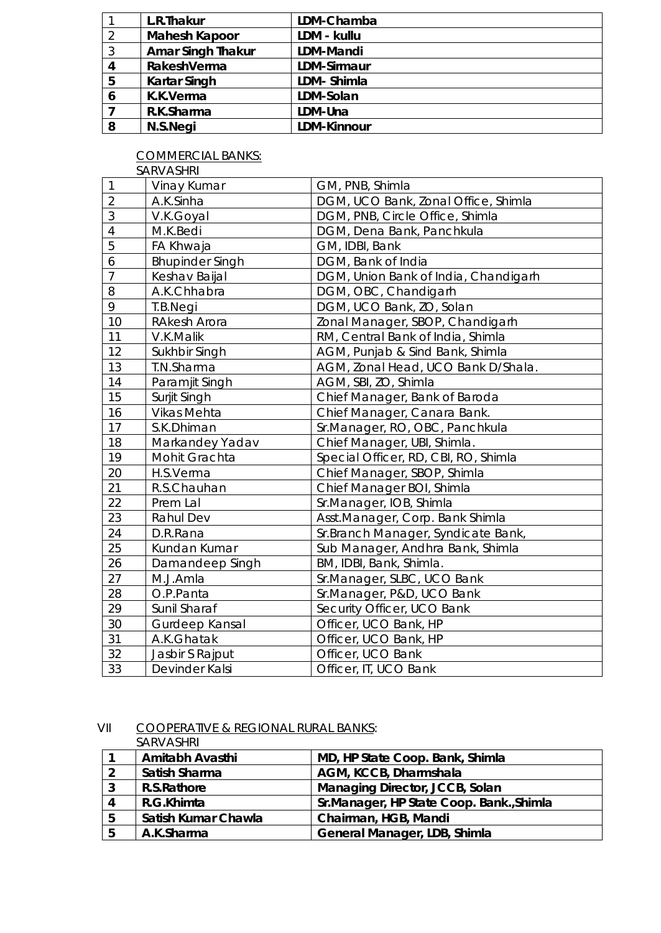|   | L.R.Thakur               | LDM-Chamba         |
|---|--------------------------|--------------------|
| 2 | <b>Mahesh Kapoor</b>     | LDM - kullu        |
| 3 | <b>Amar Singh Thakur</b> | <b>LDM-Mandi</b>   |
| 4 | RakeshVerma              | <b>LDM-Sirmaur</b> |
| 5 | <b>Kartar Singh</b>      | LDM-Shimla         |
| 6 | K.K.Verma                | LDM-Solan          |
|   | R.K.Sharma               | LDM-Una            |
| 8 | N.S.Negi                 | <b>LDM-Kinnour</b> |

COMMERCIAL BANKS: SARVASHRI

| 1              | Vinay Kumar            | GM, PNB, Shimla                      |
|----------------|------------------------|--------------------------------------|
| $\overline{2}$ | A.K.Sinha              | DGM, UCO Bank, Zonal Office, Shimla  |
| 3              | V.K.Goyal              | DGM, PNB, Circle Office, Shimla      |
| $\overline{4}$ | M.K.Bedi               | DGM, Dena Bank, Panchkula            |
| $\overline{5}$ | <b>FA Khwaja</b>       | GM, IDBI, Bank                       |
| 6              | <b>Bhupinder Singh</b> | DGM, Bank of India                   |
| $\overline{7}$ | Keshav Baijal          | DGM, Union Bank of India, Chandigarh |
| 8              | A.K.Chhabra            | DGM, OBC, Chandigarh                 |
| 9              | T.B.Negi               | DGM, UCO Bank, ZO, Solan             |
| 10             | <b>RAkesh Arora</b>    | Zonal Manager, SBOP, Chandigarh      |
| 11             | V.K.Malik              | RM, Central Bank of India, Shimla    |
| 12             | Sukhbir Singh          | AGM, Punjab & Sind Bank, Shimla      |
| 13             | T.N.Sharma             | AGM, Zonal Head, UCO Bank D/Shala.   |
| 14             | Paramjit Singh         | AGM, SBI, ZO, Shimla                 |
| 15             | Surjit Singh           | Chief Manager, Bank of Baroda        |
| 16             | <b>Vikas Mehta</b>     | Chief Manager, Canara Bank.          |
| 17             | S.K.Dhiman             | Sr.Manager, RO, OBC, Panchkula       |
| 18             | Markandey Yadav        | Chief Manager, UBI, Shimla.          |
| 19             | Mohit Grachta          | Special Officer, RD, CBI, RO, Shimla |
| 20             | H.S.Verma              | Chief Manager, SBOP, Shimla          |
| 21             | R.S.Chauhan            | Chief Manager BOI, Shimla            |
| 22             | Prem Lal               | Sr.Manager, IOB, Shimla              |
| 23             | Rahul Dev              | Asst.Manager, Corp. Bank Shimla      |
| 24             | D.R.Rana               | Sr. Branch Manager, Syndicate Bank,  |
| 25             | Kundan Kumar           | Sub Manager, Andhra Bank, Shimla     |
| 26             | Damandeep Singh        | BM, IDBI, Bank, Shimla.              |
| 27             | M.J.Amla               | Sr.Manager, SLBC, UCO Bank           |
| 28             | O.P.Panta              | Sr.Manager, P&D, UCO Bank            |
| 29             | Sunil Sharaf           | Security Officer, UCO Bank           |
| 30             | Gurdeep Kansal         | Officer, UCO Bank, HP                |
| 31             | A.K.Ghatak             | Officer, UCO Bank, HP                |
| 32             | Jasbir S Rajput        | Officer, UCO Bank                    |
| 33             | Devinder Kalsi         | Officer, IT, UCO Bank                |

VII COOPERATIVE & REGIONAL RURAL BANKS:

|   | <b>SARVASHRI</b>           |                                          |
|---|----------------------------|------------------------------------------|
|   | <b>Amitabh Avasthi</b>     | MD, HP State Coop. Bank, Shimla          |
|   | <b>Satish Sharma</b>       | AGM, KCCB, Dharmshala                    |
| 3 | R.S.Rathore                | <b>Managing Director, JCCB, Solan</b>    |
|   | R.G.Khimta                 | Sr.Manager, HP State Coop. Bank., Shimla |
| 5 | <b>Satish Kumar Chawla</b> | Chairman, HGB, Mandi                     |
| 5 | A.K.Sharma                 | General Manager, LDB, Shimla             |